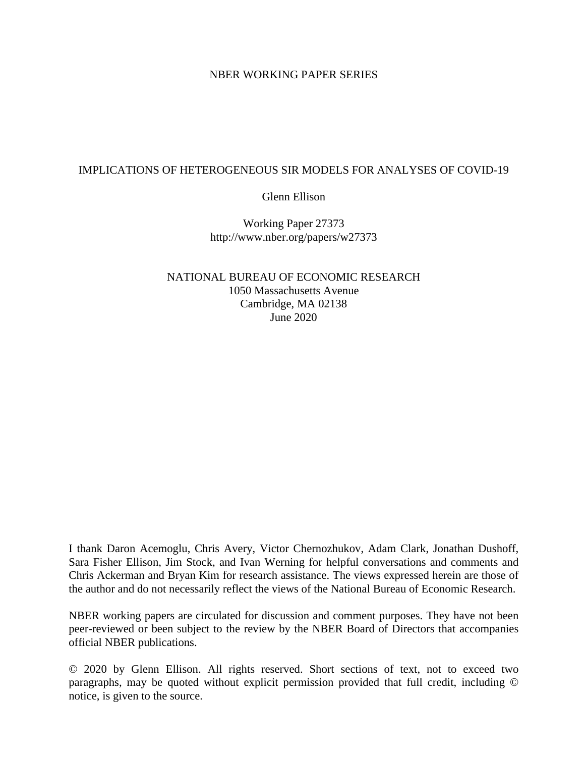## NBER WORKING PAPER SERIES

## IMPLICATIONS OF HETEROGENEOUS SIR MODELS FOR ANALYSES OF COVID-19

Glenn Ellison

Working Paper 27373 http://www.nber.org/papers/w27373

NATIONAL BUREAU OF ECONOMIC RESEARCH 1050 Massachusetts Avenue Cambridge, MA 02138 June 2020

I thank Daron Acemoglu, Chris Avery, Victor Chernozhukov, Adam Clark, Jonathan Dushoff, Sara Fisher Ellison, Jim Stock, and Ivan Werning for helpful conversations and comments and Chris Ackerman and Bryan Kim for research assistance. The views expressed herein are those of the author and do not necessarily reflect the views of the National Bureau of Economic Research.

NBER working papers are circulated for discussion and comment purposes. They have not been peer-reviewed or been subject to the review by the NBER Board of Directors that accompanies official NBER publications.

© 2020 by Glenn Ellison. All rights reserved. Short sections of text, not to exceed two paragraphs, may be quoted without explicit permission provided that full credit, including © notice, is given to the source.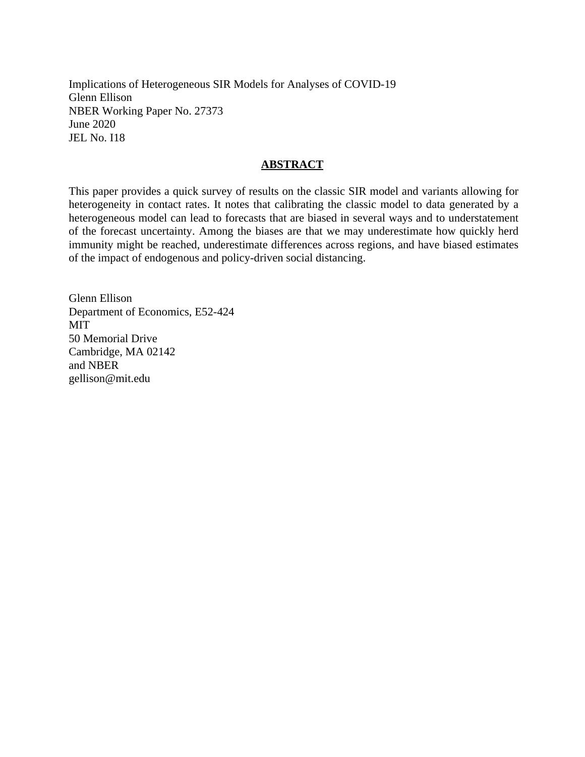Implications of Heterogeneous SIR Models for Analyses of COVID-19 Glenn Ellison NBER Working Paper No. 27373 June 2020 JEL No. I18

### **ABSTRACT**

This paper provides a quick survey of results on the classic SIR model and variants allowing for heterogeneity in contact rates. It notes that calibrating the classic model to data generated by a heterogeneous model can lead to forecasts that are biased in several ways and to understatement of the forecast uncertainty. Among the biases are that we may underestimate how quickly herd immunity might be reached, underestimate differences across regions, and have biased estimates of the impact of endogenous and policy-driven social distancing.

Glenn Ellison Department of Economics, E52-424 MIT 50 Memorial Drive Cambridge, MA 02142 and NBER gellison@mit.edu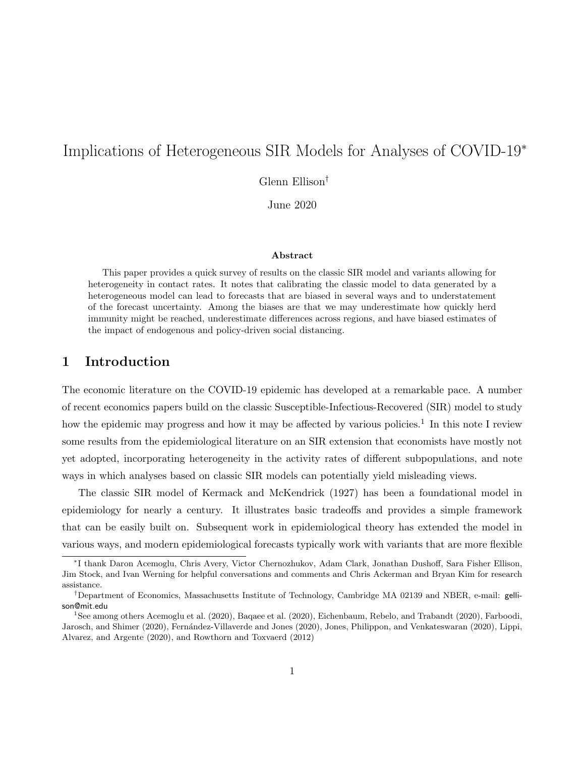# Implications of Heterogeneous SIR Models for Analyses of COVID-19<sup>∗</sup>

Glenn Ellison†

June 2020

#### Abstract

This paper provides a quick survey of results on the classic SIR model and variants allowing for heterogeneity in contact rates. It notes that calibrating the classic model to data generated by a heterogeneous model can lead to forecasts that are biased in several ways and to understatement of the forecast uncertainty. Among the biases are that we may underestimate how quickly herd immunity might be reached, underestimate differences across regions, and have biased estimates of the impact of endogenous and policy-driven social distancing.

## 1 Introduction

The economic literature on the COVID-19 epidemic has developed at a remarkable pace. A number of recent economics papers build on the classic Susceptible-Infectious-Recovered (SIR) model to study how the epidemic may progress and how it may be affected by various policies.<sup>1</sup> In this note I review some results from the epidemiological literature on an SIR extension that economists have mostly not yet adopted, incorporating heterogeneity in the activity rates of different subpopulations, and note ways in which analyses based on classic SIR models can potentially yield misleading views.

The classic SIR model of Kermack and McKendrick (1927) has been a foundational model in epidemiology for nearly a century. It illustrates basic tradeoffs and provides a simple framework that can be easily built on. Subsequent work in epidemiological theory has extended the model in various ways, and modern epidemiological forecasts typically work with variants that are more flexible

<sup>∗</sup> I thank Daron Acemoglu, Chris Avery, Victor Chernozhukov, Adam Clark, Jonathan Dushoff, Sara Fisher Ellison, Jim Stock, and Ivan Werning for helpful conversations and comments and Chris Ackerman and Bryan Kim for research assistance.

<sup>†</sup>Department of Economics, Massachusetts Institute of Technology, Cambridge MA 02139 and NBER, e-mail: gellison@mit.edu

<sup>1</sup>See among others Acemoglu et al. (2020), Baqaee et al. (2020), Eichenbaum, Rebelo, and Trabandt (2020), Farboodi, Jarosch, and Shimer (2020), Fernández-Villaverde and Jones (2020), Jones, Philippon, and Venkateswaran (2020), Lippi, Alvarez, and Argente (2020), and Rowthorn and Toxvaerd (2012)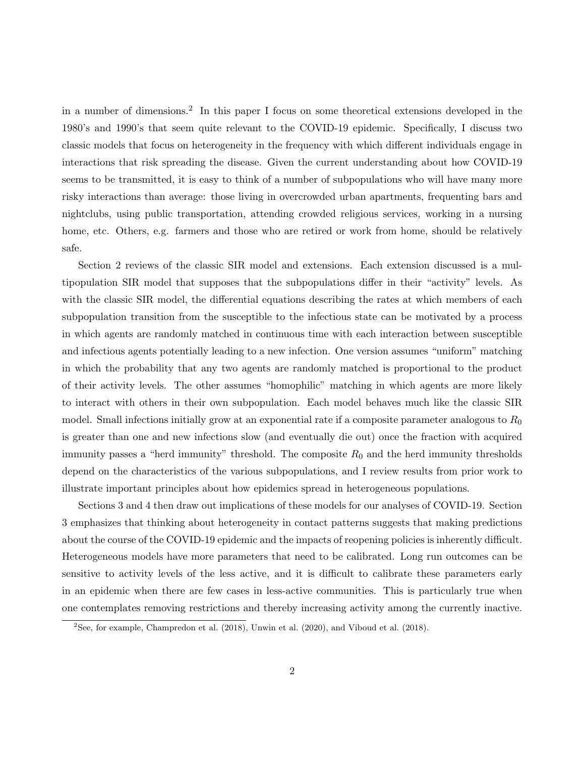in a number of dimensions.<sup>2</sup> In this paper I focus on some theoretical extensions developed in the 1980's and 1990's that seem quite relevant to the COVID-19 epidemic. Specifically, I discuss two classic models that focus on heterogeneity in the frequency with which different individuals engage in interactions that risk spreading the disease. Given the current understanding about how COVID-19 seems to be transmitted, it is easy to think of a number of subpopulations who will have many more risky interactions than average: those living in overcrowded urban apartments, frequenting bars and nightclubs, using public transportation, attending crowded religious services, working in a nursing home, etc. Others, e.g. farmers and those who are retired or work from home, should be relatively safe.

Section 2 reviews of the classic SIR model and extensions. Each extension discussed is a multipopulation SIR model that supposes that the subpopulations differ in their "activity" levels. As with the classic SIR model, the differential equations describing the rates at which members of each subpopulation transition from the susceptible to the infectious state can be motivated by a process in which agents are randomly matched in continuous time with each interaction between susceptible and infectious agents potentially leading to a new infection. One version assumes "uniform" matching in which the probability that any two agents are randomly matched is proportional to the product of their activity levels. The other assumes "homophilic" matching in which agents are more likely to interact with others in their own subpopulation. Each model behaves much like the classic SIR model. Small infections initially grow at an exponential rate if a composite parameter analogous to  $R_0$ is greater than one and new infections slow (and eventually die out) once the fraction with acquired immunity passes a "herd immunity" threshold. The composite  $R_0$  and the herd immunity thresholds depend on the characteristics of the various subpopulations, and I review results from prior work to illustrate important principles about how epidemics spread in heterogeneous populations.

Sections 3 and 4 then draw out implications of these models for our analyses of COVID-19. Section 3 emphasizes that thinking about heterogeneity in contact patterns suggests that making predictions about the course of the COVID-19 epidemic and the impacts of reopening policies is inherently difficult. Heterogeneous models have more parameters that need to be calibrated. Long run outcomes can be sensitive to activity levels of the less active, and it is difficult to calibrate these parameters early in an epidemic when there are few cases in less-active communities. This is particularly true when one contemplates removing restrictions and thereby increasing activity among the currently inactive.

 $2$ See, for example, Champredon et al. (2018), Unwin et al. (2020), and Viboud et al. (2018).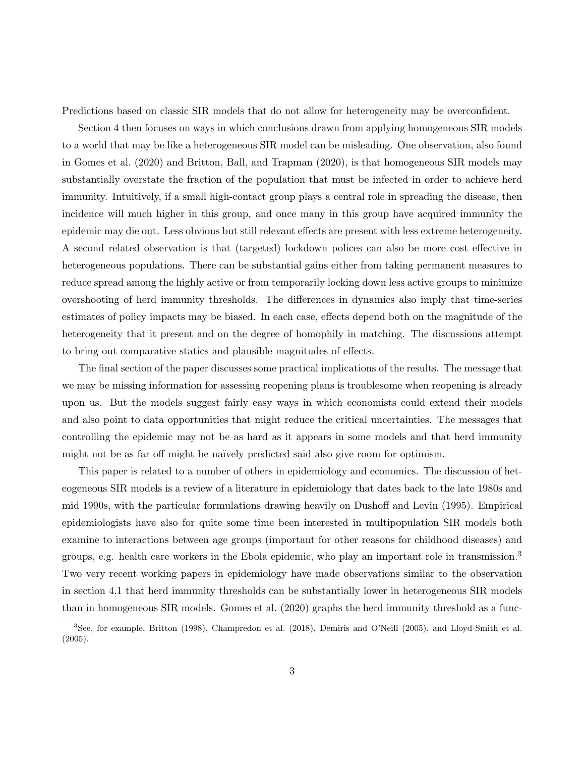Predictions based on classic SIR models that do not allow for heterogeneity may be overconfident.

Section 4 then focuses on ways in which conclusions drawn from applying homogeneous SIR models to a world that may be like a heterogeneous SIR model can be misleading. One observation, also found in Gomes et al. (2020) and Britton, Ball, and Trapman (2020), is that homogeneous SIR models may substantially overstate the fraction of the population that must be infected in order to achieve herd immunity. Intuitively, if a small high-contact group plays a central role in spreading the disease, then incidence will much higher in this group, and once many in this group have acquired immunity the epidemic may die out. Less obvious but still relevant effects are present with less extreme heterogeneity. A second related observation is that (targeted) lockdown polices can also be more cost effective in heterogeneous populations. There can be substantial gains either from taking permanent measures to reduce spread among the highly active or from temporarily locking down less active groups to minimize overshooting of herd immunity thresholds. The differences in dynamics also imply that time-series estimates of policy impacts may be biased. In each case, effects depend both on the magnitude of the heterogeneity that it present and on the degree of homophily in matching. The discussions attempt to bring out comparative statics and plausible magnitudes of effects.

The final section of the paper discusses some practical implications of the results. The message that we may be missing information for assessing reopening plans is troublesome when reopening is already upon us. But the models suggest fairly easy ways in which economists could extend their models and also point to data opportunities that might reduce the critical uncertainties. The messages that controlling the epidemic may not be as hard as it appears in some models and that herd immunity might not be as far off might be naïvely predicted said also give room for optimism.

This paper is related to a number of others in epidemiology and economics. The discussion of heteogeneous SIR models is a review of a literature in epidemiology that dates back to the late 1980s and mid 1990s, with the particular formulations drawing heavily on Dushoff and Levin (1995). Empirical epidemiologists have also for quite some time been interested in multipopulation SIR models both examine to interactions between age groups (important for other reasons for childhood diseases) and groups, e.g. health care workers in the Ebola epidemic, who play an important role in transmission.<sup>3</sup> Two very recent working papers in epidemiology have made observations similar to the observation in section 4.1 that herd immunity thresholds can be substantially lower in heterogeneous SIR models than in homogeneous SIR models. Gomes et al. (2020) graphs the herd immunity threshold as a func-

<sup>3</sup>See, for example, Britton (1998), Champredon et al. (2018), Demiris and O'Neill (2005), and Lloyd-Smith et al. (2005).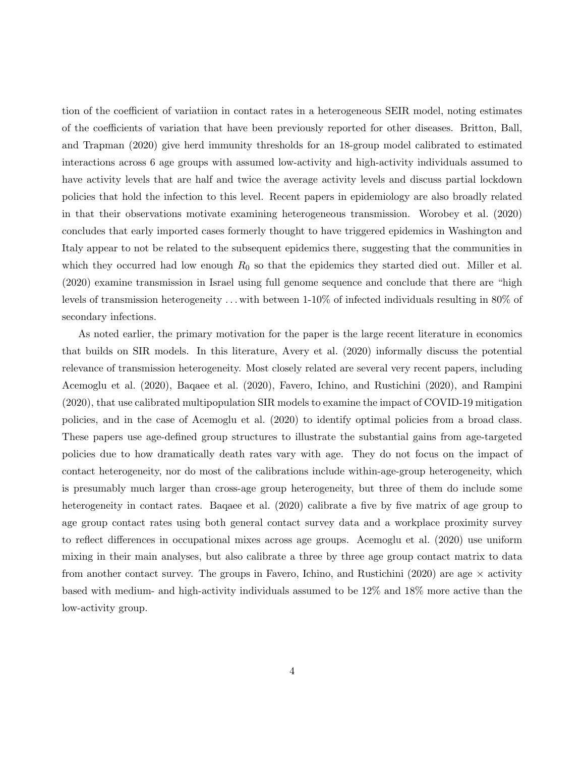tion of the coefficient of variatiion in contact rates in a heterogeneous SEIR model, noting estimates of the coefficients of variation that have been previously reported for other diseases. Britton, Ball, and Trapman (2020) give herd immunity thresholds for an 18-group model calibrated to estimated interactions across 6 age groups with assumed low-activity and high-activity individuals assumed to have activity levels that are half and twice the average activity levels and discuss partial lockdown policies that hold the infection to this level. Recent papers in epidemiology are also broadly related in that their observations motivate examining heterogeneous transmission. Worobey et al. (2020) concludes that early imported cases formerly thought to have triggered epidemics in Washington and Italy appear to not be related to the subsequent epidemics there, suggesting that the communities in which they occurred had low enough  $R_0$  so that the epidemics they started died out. Miller et al. (2020) examine transmission in Israel using full genome sequence and conclude that there are "high levels of transmission heterogeneity . . . with between 1-10% of infected individuals resulting in 80% of secondary infections.

As noted earlier, the primary motivation for the paper is the large recent literature in economics that builds on SIR models. In this literature, Avery et al. (2020) informally discuss the potential relevance of transmission heterogeneity. Most closely related are several very recent papers, including Acemoglu et al. (2020), Baqaee et al. (2020), Favero, Ichino, and Rustichini (2020), and Rampini (2020), that use calibrated multipopulation SIR models to examine the impact of COVID-19 mitigation policies, and in the case of Acemoglu et al. (2020) to identify optimal policies from a broad class. These papers use age-defined group structures to illustrate the substantial gains from age-targeted policies due to how dramatically death rates vary with age. They do not focus on the impact of contact heterogeneity, nor do most of the calibrations include within-age-group heterogeneity, which is presumably much larger than cross-age group heterogeneity, but three of them do include some heterogeneity in contact rates. Baqaee et al. (2020) calibrate a five by five matrix of age group to age group contact rates using both general contact survey data and a workplace proximity survey to reflect differences in occupational mixes across age groups. Acemoglu et al. (2020) use uniform mixing in their main analyses, but also calibrate a three by three age group contact matrix to data from another contact survey. The groups in Favero, Ichino, and Rustichini (2020) are age  $\times$  activity based with medium- and high-activity individuals assumed to be 12% and 18% more active than the low-activity group.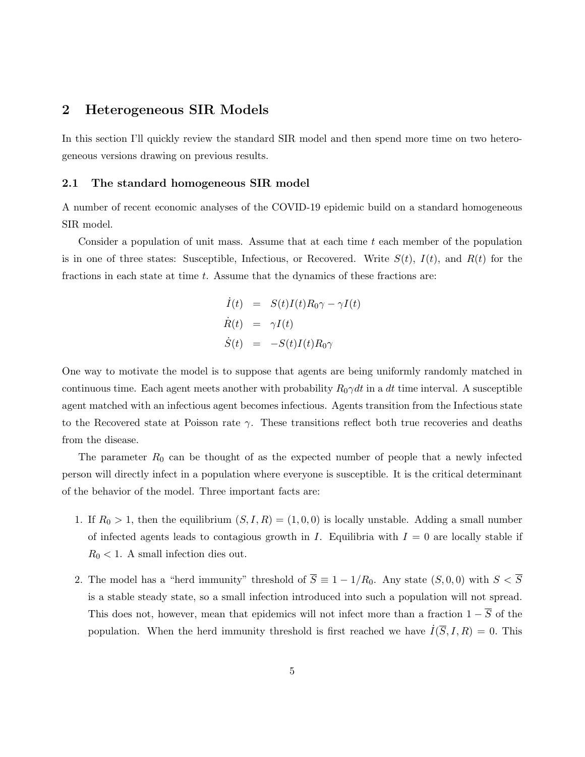## 2 Heterogeneous SIR Models

In this section I'll quickly review the standard SIR model and then spend more time on two heterogeneous versions drawing on previous results.

#### 2.1 The standard homogeneous SIR model

A number of recent economic analyses of the COVID-19 epidemic build on a standard homogeneous SIR model.

Consider a population of unit mass. Assume that at each time t each member of the population is in one of three states: Susceptible, Infectious, or Recovered. Write  $S(t)$ ,  $I(t)$ , and  $R(t)$  for the fractions in each state at time  $t$ . Assume that the dynamics of these fractions are:

$$
\dot{I}(t) = S(t)I(t)R_0\gamma - \gamma I(t)
$$
  
\n
$$
\dot{R}(t) = \gamma I(t)
$$
  
\n
$$
\dot{S}(t) = -S(t)I(t)R_0\gamma
$$

One way to motivate the model is to suppose that agents are being uniformly randomly matched in continuous time. Each agent meets another with probability  $R_0\gamma dt$  in a dt time interval. A susceptible agent matched with an infectious agent becomes infectious. Agents transition from the Infectious state to the Recovered state at Poisson rate  $\gamma$ . These transitions reflect both true recoveries and deaths from the disease.

The parameter  $R_0$  can be thought of as the expected number of people that a newly infected person will directly infect in a population where everyone is susceptible. It is the critical determinant of the behavior of the model. Three important facts are:

- 1. If  $R_0 > 1$ , then the equilibrium  $(S, I, R) = (1, 0, 0)$  is locally unstable. Adding a small number of infected agents leads to contagious growth in I. Equilibria with  $I = 0$  are locally stable if  $R_0 < 1$ . A small infection dies out.
- 2. The model has a "herd immunity" threshold of  $\overline{S} \equiv 1 1/R_0$ . Any state  $(S, 0, 0)$  with  $S < \overline{S}$ is a stable steady state, so a small infection introduced into such a population will not spread. This does not, however, mean that epidemics will not infect more than a fraction  $1 - \overline{S}$  of the population. When the herd immunity threshold is first reached we have  $\dot{I}(\overline{S}, I, R) = 0$ . This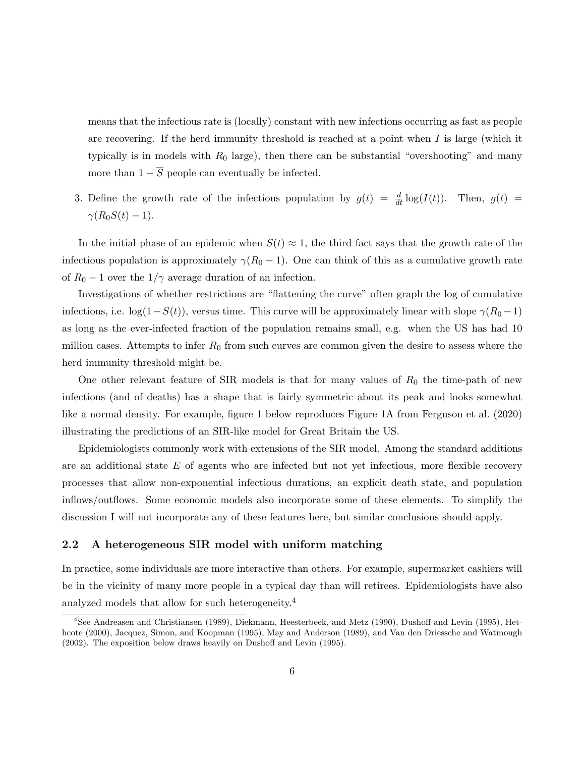means that the infectious rate is (locally) constant with new infections occurring as fast as people are recovering. If the herd immunity threshold is reached at a point when  $I$  is large (which it typically is in models with  $R_0$  large), then there can be substantial "overshooting" and many more than  $1 - \overline{S}$  people can eventually be infected.

3. Define the growth rate of the infectious population by  $g(t) = \frac{d}{dt} \log(I(t))$ . Then,  $g(t) =$  $\gamma(R_0S(t)-1).$ 

In the initial phase of an epidemic when  $S(t) \approx 1$ , the third fact says that the growth rate of the infectious population is approximately  $\gamma(R_0 - 1)$ . One can think of this as a cumulative growth rate of  $R_0 - 1$  over the  $1/\gamma$  average duration of an infection.

Investigations of whether restrictions are "flattening the curve" often graph the log of cumulative infections, i.e.  $\log(1-S(t))$ , versus time. This curve will be approximately linear with slope  $\gamma(R_0-1)$ as long as the ever-infected fraction of the population remains small, e.g. when the US has had 10 million cases. Attempts to infer  $R_0$  from such curves are common given the desire to assess where the herd immunity threshold might be.

One other relevant feature of SIR models is that for many values of  $R_0$  the time-path of new infections (and of deaths) has a shape that is fairly symmetric about its peak and looks somewhat like a normal density. For example, figure 1 below reproduces Figure 1A from Ferguson et al. (2020) illustrating the predictions of an SIR-like model for Great Britain the US.

Epidemiologists commonly work with extensions of the SIR model. Among the standard additions are an additional state  $E$  of agents who are infected but not yet infectious, more flexible recovery processes that allow non-exponential infectious durations, an explicit death state, and population inflows/outflows. Some economic models also incorporate some of these elements. To simplify the discussion I will not incorporate any of these features here, but similar conclusions should apply.

#### 2.2 A heterogeneous SIR model with uniform matching

In practice, some individuals are more interactive than others. For example, supermarket cashiers will be in the vicinity of many more people in a typical day than will retirees. Epidemiologists have also analyzed models that allow for such heterogeneity.<sup>4</sup>

<sup>4</sup>See Andreasen and Christiansen (1989), Diekmann, Heesterbeek, and Metz (1990), Dushoff and Levin (1995), Hethcote (2000), Jacquez, Simon, and Koopman (1995), May and Anderson (1989), and Van den Driessche and Watmough (2002). The exposition below draws heavily on Dushoff and Levin (1995).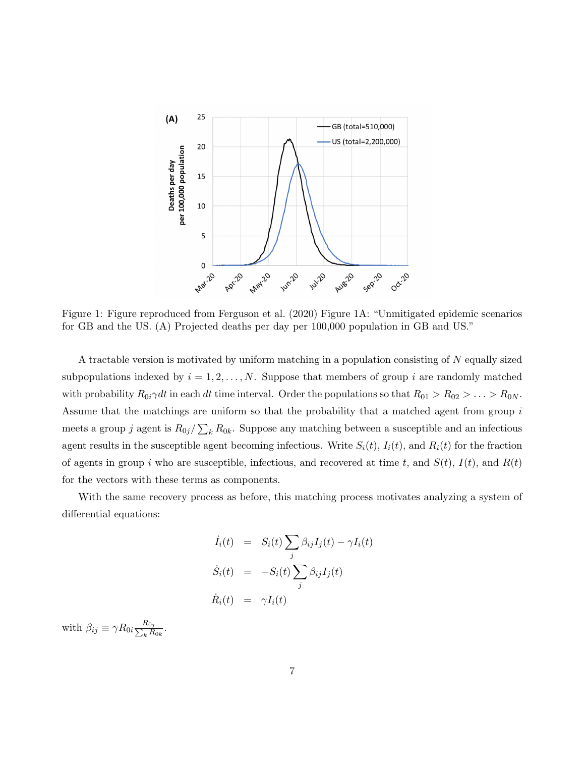

Figure 1: Figure reproduced from Ferguson et al. (2020) Figure 1A: "Unmitigated epidemic scenarios for GB and the US. (A) Projected deaths per day per 100,000 population in GB and US."

A tractable version is motivated by uniform matching in a population consisting of N equally sized subpopulations indexed by  $i = 1, 2, ..., N$ . Suppose that members of group i are randomly matched with probability  $R_{0i}\gamma dt$  in each dt time interval. Order the populations so that  $R_{01} > R_{02} > \ldots > R_{0N}$ . Assume that the matchings are uniform so that the probability that a matched agent from group  $i$ meets a group j agent is  $R_{0j}/\sum_{k} R_{0k}$ . Suppose any matching between a susceptible and an infectious agent results in the susceptible agent becoming infectious. Write  $S_i(t)$ ,  $I_i(t)$ , and  $R_i(t)$  for the fraction of agents in group i who are susceptible, infectious, and recovered at time t, and  $S(t)$ ,  $I(t)$ , and  $R(t)$ for the vectors with these terms as components.

With the same recovery process as before, this matching process motivates analyzing a system of differential equations:

$$
\dot{I}_i(t) = S_i(t) \sum_j \beta_{ij} I_j(t) - \gamma I_i(t)
$$
\n
$$
\dot{S}_i(t) = -S_i(t) \sum_j \beta_{ij} I_j(t)
$$
\n
$$
\dot{R}_i(t) = \gamma I_i(t)
$$

with  $\beta_{ij} \equiv \gamma R_{0i} \frac{R_{0j}}{\sum_{k} R_{ij}}$  $\frac{n_{0j}}{k R_{0k}}.$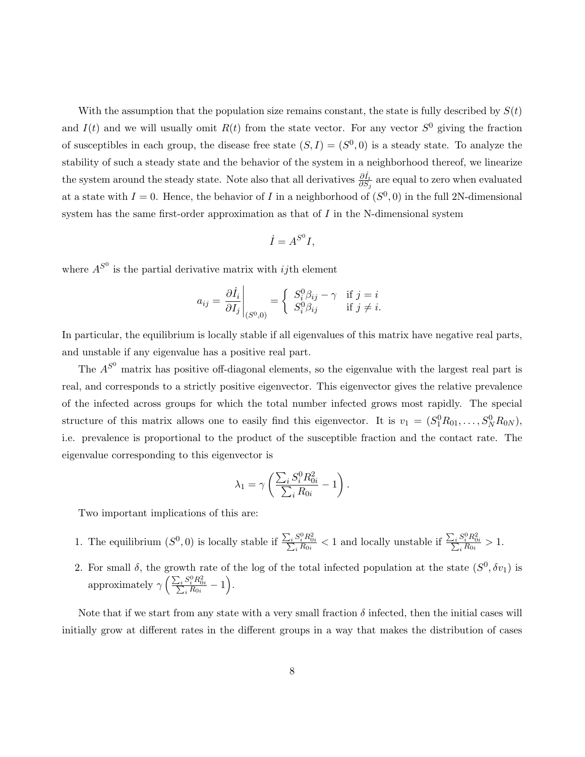With the assumption that the population size remains constant, the state is fully described by  $S(t)$ and  $I(t)$  and we will usually omit  $R(t)$  from the state vector. For any vector  $S^0$  giving the fraction of susceptibles in each group, the disease free state  $(S, I) = (S^0, 0)$  is a steady state. To analyze the stability of such a steady state and the behavior of the system in a neighborhood thereof, we linearize the system around the steady state. Note also that all derivatives  $\frac{\partial i_i}{\partial S_j}$  are equal to zero when evaluated at a state with  $I = 0$ . Hence, the behavior of I in a neighborhood of  $(S<sup>0</sup>, 0)$  in the full 2N-dimensional system has the same first-order approximation as that of I in the N-dimensional system

$$
\dot{I} = A^{S^0} I,
$$

where  $A^{S^0}$  is the partial derivative matrix with *ij*th element

$$
a_{ij} = \frac{\partial \dot{I}_i}{\partial I_j}\Big|_{(S^0,0)} = \begin{cases} S_i^0 \beta_{ij} - \gamma & \text{if } j = i \\ S_i^0 \beta_{ij} & \text{if } j \neq i. \end{cases}
$$

In particular, the equilibrium is locally stable if all eigenvalues of this matrix have negative real parts, and unstable if any eigenvalue has a positive real part.

The  $A^{S^0}$  matrix has positive off-diagonal elements, so the eigenvalue with the largest real part is real, and corresponds to a strictly positive eigenvector. This eigenvector gives the relative prevalence of the infected across groups for which the total number infected grows most rapidly. The special structure of this matrix allows one to easily find this eigenvector. It is  $v_1 = (S_1^0 R_{01}, \ldots, S_N^0 R_{0N}),$ i.e. prevalence is proportional to the product of the susceptible fraction and the contact rate. The eigenvalue corresponding to this eigenvector is

$$
\lambda_1 = \gamma \left( \frac{\sum_i S_i^0 R_{0i}^2}{\sum_i R_{0i}} - 1 \right).
$$

Two important implications of this are:

- 1. The equilibrium  $(S^0, 0)$  is locally stable if  $\frac{\sum_i S_i^0 R_{0i}^2}{\sum_i R_{0i}} < 1$  and locally unstable if  $\frac{\sum_i S_i^0 R_{0i}^2}{\sum_i R_{0i}} > 1$ .
- 2. For small  $\delta$ , the growth rate of the log of the total infected population at the state  $(S^0, \delta v_1)$  is approximately  $\gamma \left( \frac{\sum_i S_i^0 R_{0i}^2}{\sum_i R_{0i}} - 1 \right)$ .

Note that if we start from any state with a very small fraction  $\delta$  infected, then the initial cases will initially grow at different rates in the different groups in a way that makes the distribution of cases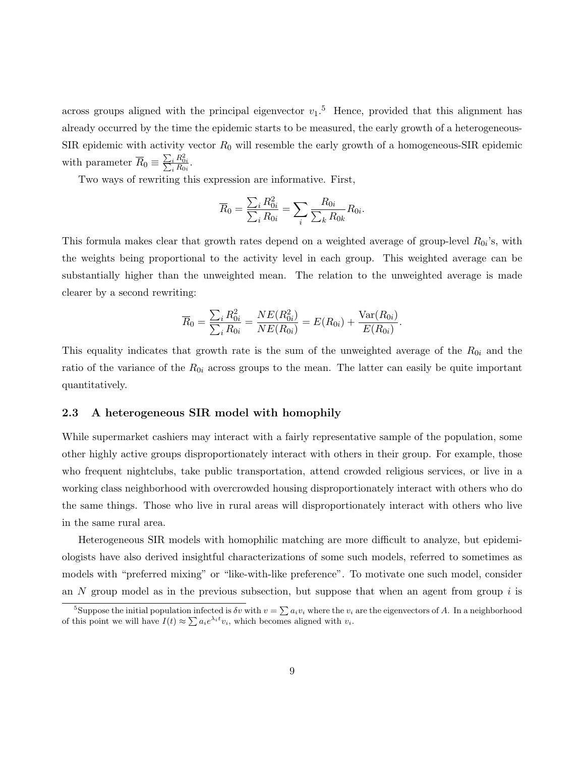across groups aligned with the principal eigenvector  $v_1$ .<sup>5</sup> Hence, provided that this alignment has already occurred by the time the epidemic starts to be measured, the early growth of a heterogeneous-SIR epidemic with activity vector  $R_0$  will resemble the early growth of a homogeneous-SIR epidemic with parameter  $\overline{R}_0 \equiv \frac{\sum_i R_{0i}^2}{\sum_i R_{0i}}$ .

Two ways of rewriting this expression are informative. First,

$$
\overline{R}_0 = \frac{\sum_i R_{0i}^2}{\sum_i R_{0i}} = \sum_i \frac{R_{0i}}{\sum_k R_{0k}} R_{0i}.
$$

This formula makes clear that growth rates depend on a weighted average of group-level  $R_{0i}$ 's, with the weights being proportional to the activity level in each group. This weighted average can be substantially higher than the unweighted mean. The relation to the unweighted average is made clearer by a second rewriting:

$$
\overline{R}_0 = \frac{\sum_i R_{0i}^2}{\sum_i R_{0i}} = \frac{NE(R_{0i}^2)}{NE(R_{0i})} = E(R_{0i}) + \frac{\text{Var}(R_{0i})}{E(R_{0i})}.
$$

This equality indicates that growth rate is the sum of the unweighted average of the  $R_{0i}$  and the ratio of the variance of the  $R_{0i}$  across groups to the mean. The latter can easily be quite important quantitatively.

#### 2.3 A heterogeneous SIR model with homophily

While supermarket cashiers may interact with a fairly representative sample of the population, some other highly active groups disproportionately interact with others in their group. For example, those who frequent nightclubs, take public transportation, attend crowded religious services, or live in a working class neighborhood with overcrowded housing disproportionately interact with others who do the same things. Those who live in rural areas will disproportionately interact with others who live in the same rural area.

Heterogeneous SIR models with homophilic matching are more difficult to analyze, but epidemiologists have also derived insightful characterizations of some such models, referred to sometimes as models with "preferred mixing" or "like-with-like preference". To motivate one such model, consider an  $N$  group model as in the previous subsection, but suppose that when an agent from group  $i$  is

<sup>&</sup>lt;sup>5</sup>Suppose the initial population infected is  $\delta v$  with  $v = \sum a_i v_i$  where the  $v_i$  are the eigenvectors of A. In a neighborhood of this point we will have  $I(t) \approx \sum a_i e^{\lambda_i t} v_i$ , which becomes aligned with  $v_i$ .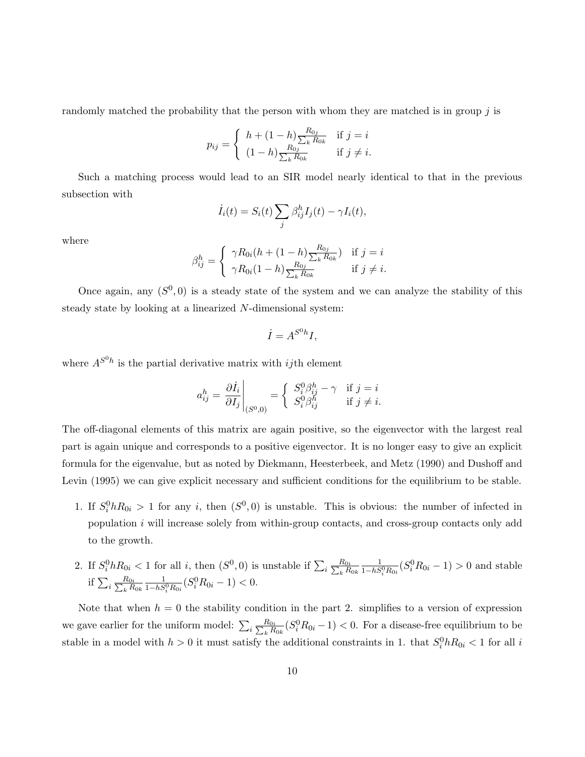randomly matched the probability that the person with whom they are matched is in group  $\hat{\jmath}$  is

$$
p_{ij} = \begin{cases} h + (1-h) \frac{R_{0j}}{\sum_k R_{0k}} & \text{if } j = i \\ (1-h) \frac{R_{0j}}{\sum_k R_{0k}} & \text{if } j \neq i. \end{cases}
$$

Such a matching process would lead to an SIR model nearly identical to that in the previous subsection with

$$
\dot{I}_i(t) = S_i(t) \sum_j \beta_{ij}^h I_j(t) - \gamma I_i(t),
$$

where

$$
\beta_{ij}^h = \begin{cases} \gamma R_{0i}(h + (1-h)\frac{R_{0j}}{\sum_k R_{0k}}) & \text{if } j = i \\ \gamma R_{0i}(1-h)\frac{R_{0j}}{\sum_k R_{0k}} & \text{if } j \neq i. \end{cases}
$$

Once again, any  $(S<sup>0</sup>, 0)$  is a steady state of the system and we can analyze the stability of this steady state by looking at a linearized N-dimensional system:

$$
\dot{I} = A^{S^0 h} I,
$$

where  $A^{S^0 h}$  is the partial derivative matrix with *ij*th element

$$
a_{ij}^h = \left. \frac{\partial \dot{I}_i}{\partial I_j} \right|_{(S^0,0)} = \begin{cases} S_i^0 \beta_{ij}^h - \gamma & \text{if } j = i \\ S_i^0 \beta_{ij}^h & \text{if } j \neq i. \end{cases}
$$

The off-diagonal elements of this matrix are again positive, so the eigenvector with the largest real part is again unique and corresponds to a positive eigenvector. It is no longer easy to give an explicit formula for the eigenvalue, but as noted by Diekmann, Heesterbeek, and Metz (1990) and Dushoff and Levin (1995) we can give explicit necessary and sufficient conditions for the equilibrium to be stable.

- 1. If  $S_i^0 h R_{0i} > 1$  for any i, then  $(S^0, 0)$  is unstable. This is obvious: the number of infected in population  $i$  will increase solely from within-group contacts, and cross-group contacts only add to the growth.
- 2. If  $S_i^0 h R_{0i} < 1$  for all i, then  $(S^0, 0)$  is unstable if  $\sum_i \frac{R_{0i}}{\sum_k R_i}$  $_k R_{0k}$  $\frac{1}{1-hS_i^0R_{0i}}(S_i^0R_{0i}-1)>0$  and stable if  $\sum_i \frac{R_{0i}}{\sum_k R_i}$  $_k R_{0k}$  $\frac{1}{1-hS_i^0R_{0i}}(S_i^0R_{0i}-1)<0.$

Note that when  $h = 0$  the stability condition in the part 2. simplifies to a version of expression we gave earlier for the uniform model:  $\sum_i \frac{R_{0i}}{\sum_k R_i}$  $\frac{R_{0i}}{k R_{0k}} (S_i^0 R_{0i} - 1) < 0.$  For a disease-free equilibrium to be stable in a model with  $h > 0$  it must satisfy the additional constraints in 1. that  $S_i^0 h R_{0i} < 1$  for all i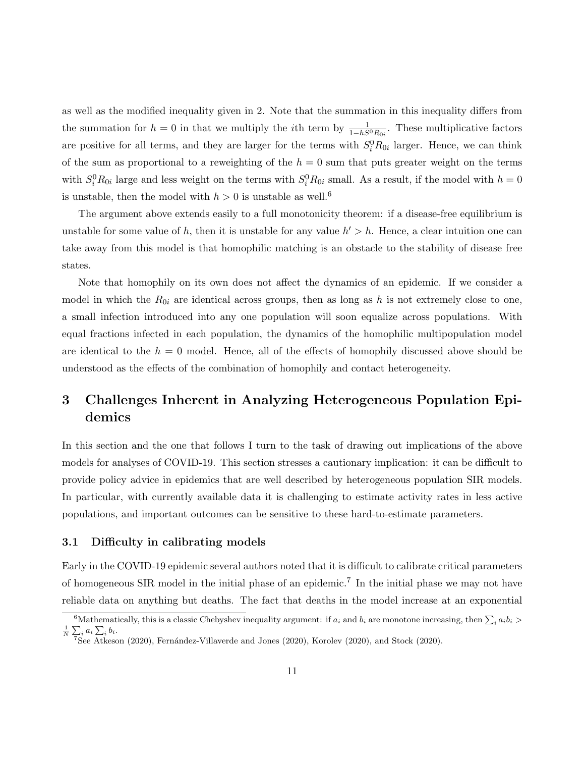as well as the modified inequality given in 2. Note that the summation in this inequality differs from the summation for  $h = 0$  in that we multiply the *i*th term by  $\frac{1}{1-hS^0R_{0i}}$ . These multiplicative factors are positive for all terms, and they are larger for the terms with  $S_i^0 R_{0i}$  larger. Hence, we can think of the sum as proportional to a reweighting of the  $h = 0$  sum that puts greater weight on the terms with  $S_i^0 R_{0i}$  large and less weight on the terms with  $S_i^0 R_{0i}$  small. As a result, if the model with  $h = 0$ is unstable, then the model with  $h > 0$  is unstable as well.<sup>6</sup>

The argument above extends easily to a full monotonicity theorem: if a disease-free equilibrium is unstable for some value of h, then it is unstable for any value  $h' > h$ . Hence, a clear intuition one can take away from this model is that homophilic matching is an obstacle to the stability of disease free states.

Note that homophily on its own does not affect the dynamics of an epidemic. If we consider a model in which the  $R_{0i}$  are identical across groups, then as long as h is not extremely close to one, a small infection introduced into any one population will soon equalize across populations. With equal fractions infected in each population, the dynamics of the homophilic multipopulation model are identical to the  $h = 0$  model. Hence, all of the effects of homophily discussed above should be understood as the effects of the combination of homophily and contact heterogeneity.

## 3 Challenges Inherent in Analyzing Heterogeneous Population Epidemics

In this section and the one that follows I turn to the task of drawing out implications of the above models for analyses of COVID-19. This section stresses a cautionary implication: it can be difficult to provide policy advice in epidemics that are well described by heterogeneous population SIR models. In particular, with currently available data it is challenging to estimate activity rates in less active populations, and important outcomes can be sensitive to these hard-to-estimate parameters.

#### 3.1 Difficulty in calibrating models

Early in the COVID-19 epidemic several authors noted that it is difficult to calibrate critical parameters of homogeneous SIR model in the initial phase of an epidemic.<sup>7</sup> In the initial phase we may not have reliable data on anything but deaths. The fact that deaths in the model increase at an exponential

<sup>&</sup>lt;sup>6</sup>Mathematically, this is a classic Chebyshev inequality argument: if  $a_i$  and  $b_i$  are monotone increasing, then  $\sum_i a_i b_i >$  $\frac{1}{N} \sum_i a_i \sum_i b_i.$ 

<sup>&</sup>lt;sup>7</sup>See Atkeson (2020), Fernández-Villaverde and Jones (2020), Korolev (2020), and Stock (2020).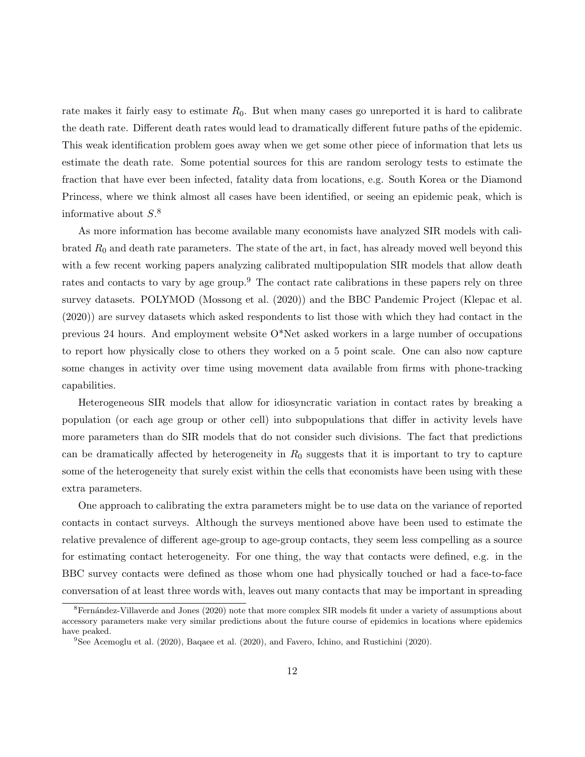rate makes it fairly easy to estimate  $R_0$ . But when many cases go unreported it is hard to calibrate the death rate. Different death rates would lead to dramatically different future paths of the epidemic. This weak identification problem goes away when we get some other piece of information that lets us estimate the death rate. Some potential sources for this are random serology tests to estimate the fraction that have ever been infected, fatality data from locations, e.g. South Korea or the Diamond Princess, where we think almost all cases have been identified, or seeing an epidemic peak, which is informative about  $S^8$ .

As more information has become available many economists have analyzed SIR models with calibrated  $R_0$  and death rate parameters. The state of the art, in fact, has already moved well beyond this with a few recent working papers analyzing calibrated multipopulation SIR models that allow death rates and contacts to vary by age group.<sup>9</sup> The contact rate calibrations in these papers rely on three survey datasets. POLYMOD (Mossong et al. (2020)) and the BBC Pandemic Project (Klepac et al. (2020)) are survey datasets which asked respondents to list those with which they had contact in the previous 24 hours. And employment website  $O^*$ Net asked workers in a large number of occupations to report how physically close to others they worked on a 5 point scale. One can also now capture some changes in activity over time using movement data available from firms with phone-tracking capabilities.

Heterogeneous SIR models that allow for idiosyncratic variation in contact rates by breaking a population (or each age group or other cell) into subpopulations that differ in activity levels have more parameters than do SIR models that do not consider such divisions. The fact that predictions can be dramatically affected by heterogeneity in  $R_0$  suggests that it is important to try to capture some of the heterogeneity that surely exist within the cells that economists have been using with these extra parameters.

One approach to calibrating the extra parameters might be to use data on the variance of reported contacts in contact surveys. Although the surveys mentioned above have been used to estimate the relative prevalence of different age-group to age-group contacts, they seem less compelling as a source for estimating contact heterogeneity. For one thing, the way that contacts were defined, e.g. in the BBC survey contacts were defined as those whom one had physically touched or had a face-to-face conversation of at least three words with, leaves out many contacts that may be important in spreading

 ${}^{8}$ Fernández-Villaverde and Jones (2020) note that more complex SIR models fit under a variety of assumptions about accessory parameters make very similar predictions about the future course of epidemics in locations where epidemics have peaked.

 $9$ See Acemoglu et al. (2020), Baqaee et al. (2020), and Favero, Ichino, and Rustichini (2020).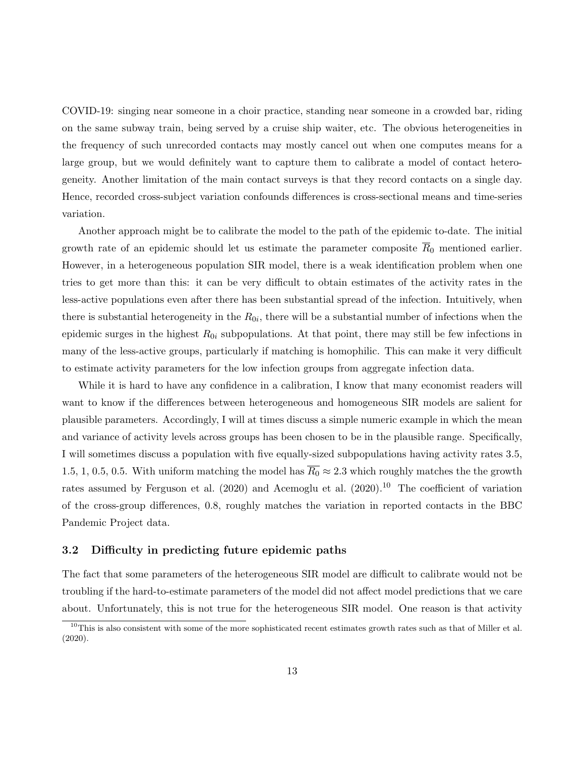COVID-19: singing near someone in a choir practice, standing near someone in a crowded bar, riding on the same subway train, being served by a cruise ship waiter, etc. The obvious heterogeneities in the frequency of such unrecorded contacts may mostly cancel out when one computes means for a large group, but we would definitely want to capture them to calibrate a model of contact heterogeneity. Another limitation of the main contact surveys is that they record contacts on a single day. Hence, recorded cross-subject variation confounds differences is cross-sectional means and time-series variation.

Another approach might be to calibrate the model to the path of the epidemic to-date. The initial growth rate of an epidemic should let us estimate the parameter composite  $\overline{R}_0$  mentioned earlier. However, in a heterogeneous population SIR model, there is a weak identification problem when one tries to get more than this: it can be very difficult to obtain estimates of the activity rates in the less-active populations even after there has been substantial spread of the infection. Intuitively, when there is substantial heterogeneity in the  $R_{0i}$ , there will be a substantial number of infections when the epidemic surges in the highest  $R_{0i}$  subpopulations. At that point, there may still be few infections in many of the less-active groups, particularly if matching is homophilic. This can make it very difficult to estimate activity parameters for the low infection groups from aggregate infection data.

While it is hard to have any confidence in a calibration, I know that many economist readers will want to know if the differences between heterogeneous and homogeneous SIR models are salient for plausible parameters. Accordingly, I will at times discuss a simple numeric example in which the mean and variance of activity levels across groups has been chosen to be in the plausible range. Specifically, I will sometimes discuss a population with five equally-sized subpopulations having activity rates 3.5, 1.5, 1, 0.5, 0.5. With uniform matching the model has  $\overline{R_0} \approx 2.3$  which roughly matches the the growth rates assumed by Ferguson et al. (2020) and Acemoglu et al. (2020).<sup>10</sup> The coefficient of variation of the cross-group differences, 0.8, roughly matches the variation in reported contacts in the BBC Pandemic Project data.

#### 3.2 Difficulty in predicting future epidemic paths

The fact that some parameters of the heterogeneous SIR model are difficult to calibrate would not be troubling if the hard-to-estimate parameters of the model did not affect model predictions that we care about. Unfortunately, this is not true for the heterogeneous SIR model. One reason is that activity

 $10$ This is also consistent with some of the more sophisticated recent estimates growth rates such as that of Miller et al. (2020).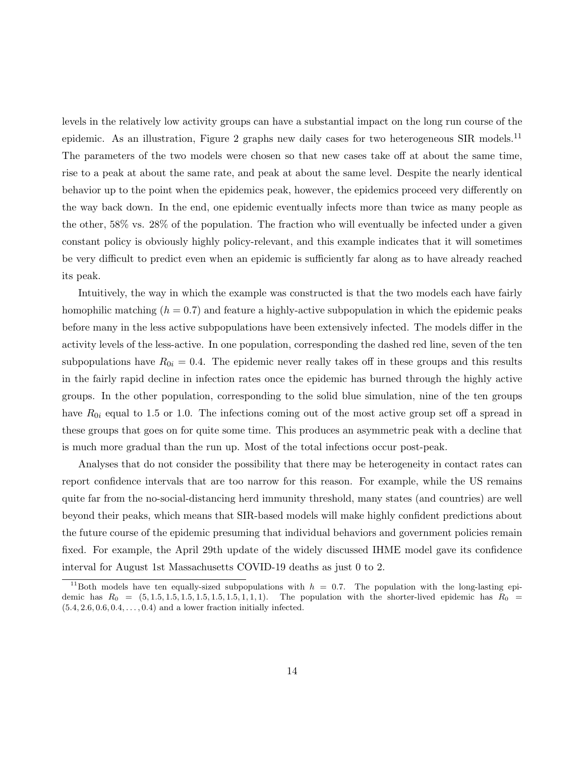levels in the relatively low activity groups can have a substantial impact on the long run course of the epidemic. As an illustration, Figure 2 graphs new daily cases for two heterogeneous SIR models.<sup>11</sup> The parameters of the two models were chosen so that new cases take off at about the same time, rise to a peak at about the same rate, and peak at about the same level. Despite the nearly identical behavior up to the point when the epidemics peak, however, the epidemics proceed very differently on the way back down. In the end, one epidemic eventually infects more than twice as many people as the other, 58% vs. 28% of the population. The fraction who will eventually be infected under a given constant policy is obviously highly policy-relevant, and this example indicates that it will sometimes be very difficult to predict even when an epidemic is sufficiently far along as to have already reached its peak.

Intuitively, the way in which the example was constructed is that the two models each have fairly homophilic matching  $(h = 0.7)$  and feature a highly-active subpopulation in which the epidemic peaks before many in the less active subpopulations have been extensively infected. The models differ in the activity levels of the less-active. In one population, corresponding the dashed red line, seven of the ten subpopulations have  $R_{0i} = 0.4$ . The epidemic never really takes off in these groups and this results in the fairly rapid decline in infection rates once the epidemic has burned through the highly active groups. In the other population, corresponding to the solid blue simulation, nine of the ten groups have  $R_{0i}$  equal to 1.5 or 1.0. The infections coming out of the most active group set off a spread in these groups that goes on for quite some time. This produces an asymmetric peak with a decline that is much more gradual than the run up. Most of the total infections occur post-peak.

Analyses that do not consider the possibility that there may be heterogeneity in contact rates can report confidence intervals that are too narrow for this reason. For example, while the US remains quite far from the no-social-distancing herd immunity threshold, many states (and countries) are well beyond their peaks, which means that SIR-based models will make highly confident predictions about the future course of the epidemic presuming that individual behaviors and government policies remain fixed. For example, the April 29th update of the widely discussed IHME model gave its confidence interval for August 1st Massachusetts COVID-19 deaths as just 0 to 2.

<sup>&</sup>lt;sup>11</sup>Both models have ten equally-sized subpopulations with  $h = 0.7$ . The population with the long-lasting epidemic has  $R_0 = (5, 1.5, 1.5, 1.5, 1.5, 1.5, 1.5, 1.1, 1)$ . The population with the shorter-lived epidemic has  $R_0 =$  $(5.4, 2.6, 0.6, 0.4, \ldots, 0.4)$  and a lower fraction initially infected.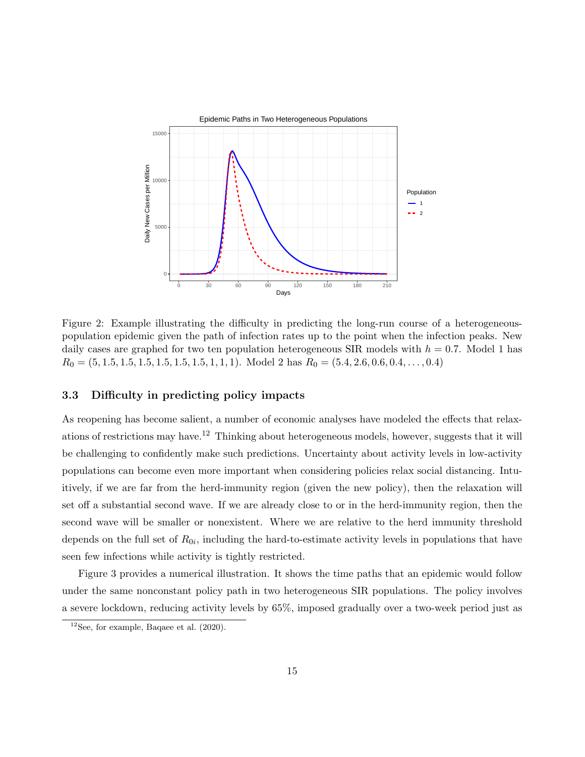

Figure 2: Example illustrating the difficulty in predicting the long-run course of a heterogeneouspopulation epidemic given the path of infection rates up to the point when the infection peaks. New daily cases are graphed for two ten population heterogeneous SIR models with  $h = 0.7$ . Model 1 has  $R_0 = (5, 1.5, 1.5, 1.5, 1.5, 1.5, 1.5, 1, 1, 1)$ . Model 2 has  $R_0 = (5.4, 2.6, 0.6, 0.4, \ldots, 0.4)$ 

#### 3.3 Difficulty in predicting policy impacts

As reopening has become salient, a number of economic analyses have modeled the effects that relaxations of restrictions may have.<sup>12</sup> Thinking about heterogeneous models, however, suggests that it will be challenging to confidently make such predictions. Uncertainty about activity levels in low-activity populations can become even more important when considering policies relax social distancing. Intuitively, if we are far from the herd-immunity region (given the new policy), then the relaxation will set off a substantial second wave. If we are already close to or in the herd-immunity region, then the second wave will be smaller or nonexistent. Where we are relative to the herd immunity threshold depends on the full set of  $R_{0i}$ , including the hard-to-estimate activity levels in populations that have seen few infections while activity is tightly restricted.

Figure 3 provides a numerical illustration. It shows the time paths that an epidemic would follow under the same nonconstant policy path in two heterogeneous SIR populations. The policy involves a severe lockdown, reducing activity levels by 65%, imposed gradually over a two-week period just as

 $12$ See, for example, Baqaee et al.  $(2020)$ .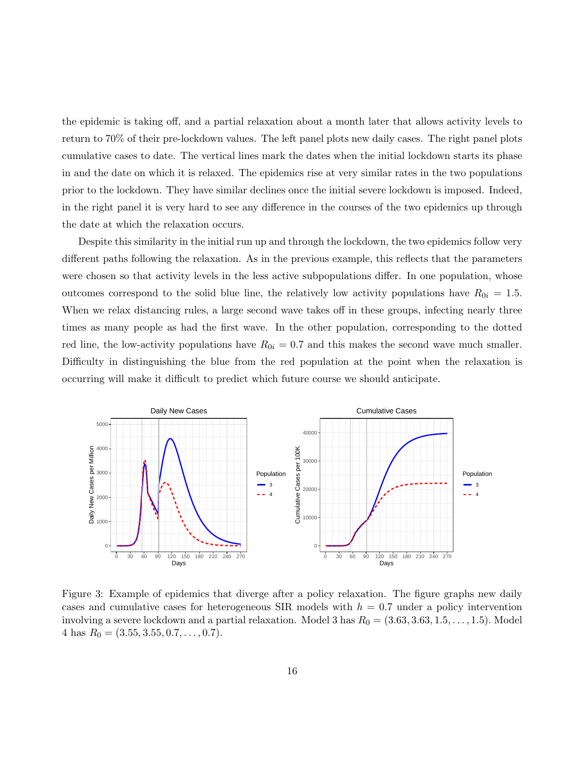the epidemic is taking off, and a partial relaxation about a month later that allows activity levels to return to 70% of their pre-lockdown values. The left panel plots new daily cases. The right panel plots cumulative cases to date. The vertical lines mark the dates when the initial lockdown starts its phase in and the date on which it is relaxed. The epidemics rise at very similar rates in the two populations prior to the lockdown. They have similar declines once the initial severe lockdown is imposed. Indeed, in the right panel it is very hard to see any difference in the courses of the two epidemics up through the date at which the relaxation occurs.

Despite this similarity in the initial run up and through the lockdown, the two epidemics follow very different paths following the relaxation. As in the previous example, this reflects that the parameters were chosen so that activity levels in the less active subpopulations differ. In one population, whose outcomes correspond to the solid blue line, the relatively low activity populations have  $R_{0i} = 1.5$ . When we relax distancing rules, a large second wave takes off in these groups, infecting nearly three times as many people as had the first wave. In the other population, corresponding to the dotted red line, the low-activity populations have  $R_{0i} = 0.7$  and this makes the second wave much smaller. Difficulty in distinguishing the blue from the red population at the point when the relaxation is occurring will make it difficult to predict which future course we should anticipate.



Figure 3: Example of epidemics that diverge after a policy relaxation. The figure graphs new daily cases and cumulative cases for heterogeneous SIR models with  $h = 0.7$  under a policy intervention involving a severe lockdown and a partial relaxation. Model 3 has  $R_0 = (3.63, 3.63, 1.5, \ldots, 1.5)$ . Model  $4 \text{ has } R_0 = (3.55, 3.55, 0.7, \ldots, 0.7).$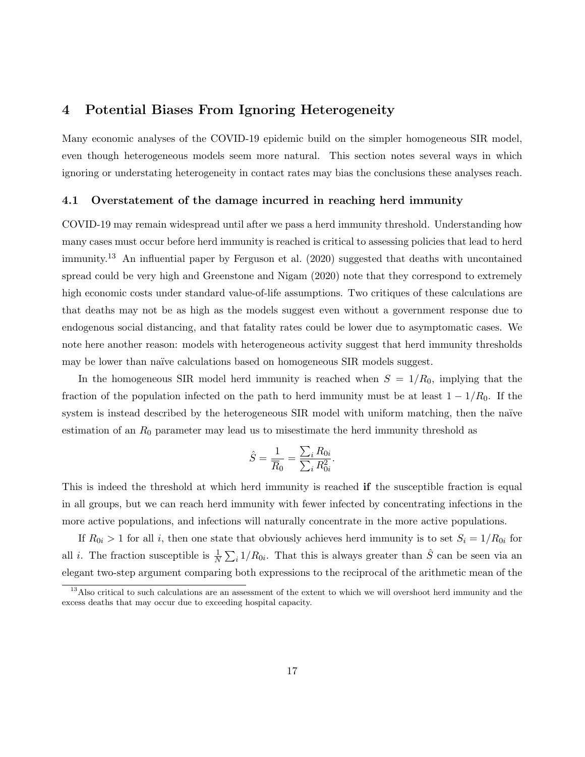## 4 Potential Biases From Ignoring Heterogeneity

Many economic analyses of the COVID-19 epidemic build on the simpler homogeneous SIR model, even though heterogeneous models seem more natural. This section notes several ways in which ignoring or understating heterogeneity in contact rates may bias the conclusions these analyses reach.

#### 4.1 Overstatement of the damage incurred in reaching herd immunity

COVID-19 may remain widespread until after we pass a herd immunity threshold. Understanding how many cases must occur before herd immunity is reached is critical to assessing policies that lead to herd immunity.<sup>13</sup> An influential paper by Ferguson et al. (2020) suggested that deaths with uncontained spread could be very high and Greenstone and Nigam (2020) note that they correspond to extremely high economic costs under standard value-of-life assumptions. Two critiques of these calculations are that deaths may not be as high as the models suggest even without a government response due to endogenous social distancing, and that fatality rates could be lower due to asymptomatic cases. We note here another reason: models with heterogeneous activity suggest that herd immunity thresholds may be lower than naïve calculations based on homogeneous SIR models suggest.

In the homogeneous SIR model herd immunity is reached when  $S = 1/R_0$ , implying that the fraction of the population infected on the path to herd immunity must be at least  $1 - 1/R_0$ . If the system is instead described by the heterogeneous SIR model with uniform matching, then the naïve estimation of an  $R_0$  parameter may lead us to misestimate the herd immunity threshold as

$$
\hat{S} = \frac{1}{\overline{R}_0} = \frac{\sum_i R_{0i}}{\sum_i R_{0i}^2}.
$$

This is indeed the threshold at which herd immunity is reached if the susceptible fraction is equal in all groups, but we can reach herd immunity with fewer infected by concentrating infections in the more active populations, and infections will naturally concentrate in the more active populations.

If  $R_{0i} > 1$  for all i, then one state that obviously achieves herd immunity is to set  $S_i = 1/R_{0i}$  for all *i*. The fraction susceptible is  $\frac{1}{N} \sum_i 1/R_{0i}$ . That this is always greater than  $\hat{S}$  can be seen via an elegant two-step argument comparing both expressions to the reciprocal of the arithmetic mean of the

<sup>&</sup>lt;sup>13</sup>Also critical to such calculations are an assessment of the extent to which we will overshoot herd immunity and the excess deaths that may occur due to exceeding hospital capacity.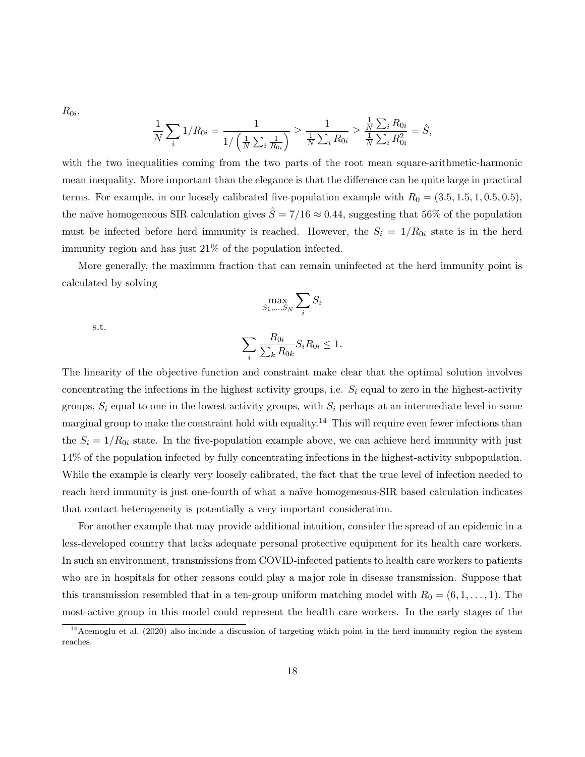$R_{0i}$ 

$$
\frac{1}{N}\sum_{i} 1/R_{0i} = \frac{1}{1/\left(\frac{1}{N}\sum_{i} \frac{1}{R_{0i}}\right)} \ge \frac{1}{\frac{1}{N}\sum_{i} R_{0i}} \ge \frac{\frac{1}{N}\sum_{i} R_{0i}}{\frac{1}{N}\sum_{i} R_{0i}^2} = \hat{S},
$$

with the two inequalities coming from the two parts of the root mean square-arithmetic-harmonic mean inequality. More important than the elegance is that the difference can be quite large in practical terms. For example, in our loosely calibrated five-population example with  $R_0 = (3.5, 1.5, 1, 0.5, 0.5)$ , the naïve homogeneous SIR calculation gives  $\hat{S} = 7/16 \approx 0.44$ , suggesting that 56% of the population must be infected before herd immunity is reached. However, the  $S_i = 1/R_{0i}$  state is in the herd immunity region and has just 21% of the population infected.

More generally, the maximum fraction that can remain uninfected at the herd immunity point is calculated by solving

$$
\max_{S_1,\dots,S_N} \sum_i S_i
$$

s.t.

$$
\sum_{i} \frac{R_{0i}}{\sum_{k} R_{0k}} S_i R_{0i} \le 1.
$$

The linearity of the objective function and constraint make clear that the optimal solution involves concentrating the infections in the highest activity groups, i.e.  $S_i$  equal to zero in the highest-activity groups,  $S_i$  equal to one in the lowest activity groups, with  $S_i$  perhaps at an intermediate level in some marginal group to make the constraint hold with equality.<sup>14</sup> This will require even fewer infections than the  $S_i = 1/R_{0i}$  state. In the five-population example above, we can achieve herd immunity with just 14% of the population infected by fully concentrating infections in the highest-activity subpopulation. While the example is clearly very loosely calibrated, the fact that the true level of infection needed to reach herd immunity is just one-fourth of what a naïve homogeneous-SIR based calculation indicates that contact heterogeneity is potentially a very important consideration.

For another example that may provide additional intuition, consider the spread of an epidemic in a less-developed country that lacks adequate personal protective equipment for its health care workers. In such an environment, transmissions from COVID-infected patients to health care workers to patients who are in hospitals for other reasons could play a major role in disease transmission. Suppose that this transmission resembled that in a ten-group uniform matching model with  $R_0 = (6, 1, \ldots, 1)$ . The most-active group in this model could represent the health care workers. In the early stages of the

 $14$ Acemoglu et al. (2020) also include a discussion of targeting which point in the herd immunity region the system reaches.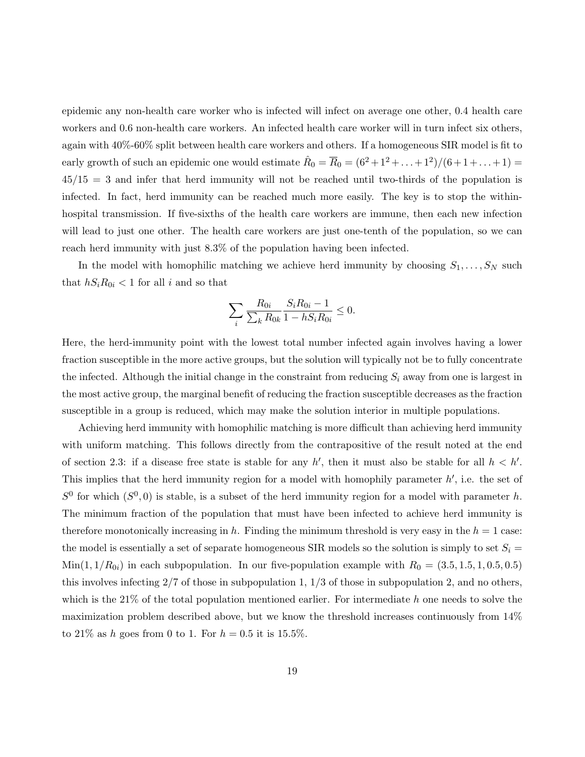epidemic any non-health care worker who is infected will infect on average one other, 0.4 health care workers and 0.6 non-health care workers. An infected health care worker will in turn infect six others, again with 40%-60% split between health care workers and others. If a homogeneous SIR model is fit to early growth of such an epidemic one would estimate  $\hat{R}_0 = \overline{R}_0 = (6^2 + 1^2 + ... + 1^2)/(6 + 1 + ... + 1) =$  $45/15 = 3$  and infer that herd immunity will not be reached until two-thirds of the population is infected. In fact, herd immunity can be reached much more easily. The key is to stop the withinhospital transmission. If five-sixths of the health care workers are immune, then each new infection will lead to just one other. The health care workers are just one-tenth of the population, so we can reach herd immunity with just 8.3% of the population having been infected.

In the model with homophilic matching we achieve herd immunity by choosing  $S_1, \ldots, S_N$  such that  $hS_iR_{0i} < 1$  for all i and so that

$$
\sum_{i} \frac{R_{0i}}{\sum_{k} R_{0k}} \frac{S_i R_{0i} - 1}{1 - h S_i R_{0i}} \le 0.
$$

Here, the herd-immunity point with the lowest total number infected again involves having a lower fraction susceptible in the more active groups, but the solution will typically not be to fully concentrate the infected. Although the initial change in the constraint from reducing  $S_i$  away from one is largest in the most active group, the marginal benefit of reducing the fraction susceptible decreases as the fraction susceptible in a group is reduced, which may make the solution interior in multiple populations.

Achieving herd immunity with homophilic matching is more difficult than achieving herd immunity with uniform matching. This follows directly from the contrapositive of the result noted at the end of section 2.3: if a disease free state is stable for any h', then it must also be stable for all  $h < h'$ . This implies that the herd immunity region for a model with homophily parameter  $h'$ , i.e. the set of  $S^0$  for which  $(S^0, 0)$  is stable, is a subset of the herd immunity region for a model with parameter h. The minimum fraction of the population that must have been infected to achieve herd immunity is therefore monotonically increasing in h. Finding the minimum threshold is very easy in the  $h = 1$  case: the model is essentially a set of separate homogeneous SIR models so the solution is simply to set  $S_i$  $\text{Min}(1, 1/R_{0i})$  in each subpopulation. In our five-population example with  $R_0 = (3.5, 1.5, 1, 0.5, 0.5)$ this involves infecting  $2/7$  of those in subpopulation 1,  $1/3$  of those in subpopulation 2, and no others, which is the  $21\%$  of the total population mentioned earlier. For intermediate h one needs to solve the maximization problem described above, but we know the threshold increases continuously from 14% to 21% as h goes from 0 to 1. For  $h = 0.5$  it is 15.5%.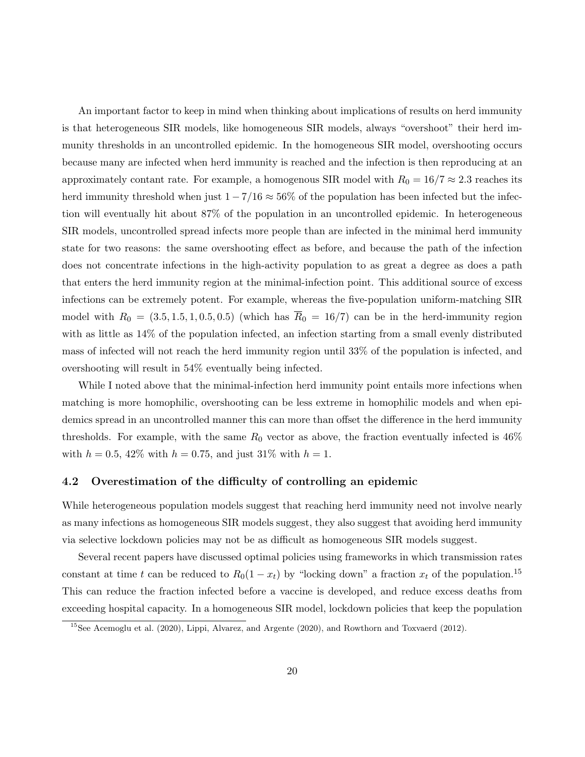An important factor to keep in mind when thinking about implications of results on herd immunity is that heterogeneous SIR models, like homogeneous SIR models, always "overshoot" their herd immunity thresholds in an uncontrolled epidemic. In the homogeneous SIR model, overshooting occurs because many are infected when herd immunity is reached and the infection is then reproducing at an approximately contant rate. For example, a homogenous SIR model with  $R_0 = 16/7 \approx 2.3$  reaches its herd immunity threshold when just  $1 - 7/16 \approx 56\%$  of the population has been infected but the infection will eventually hit about 87% of the population in an uncontrolled epidemic. In heterogeneous SIR models, uncontrolled spread infects more people than are infected in the minimal herd immunity state for two reasons: the same overshooting effect as before, and because the path of the infection does not concentrate infections in the high-activity population to as great a degree as does a path that enters the herd immunity region at the minimal-infection point. This additional source of excess infections can be extremely potent. For example, whereas the five-population uniform-matching SIR model with  $R_0 = (3.5, 1.5, 1, 0.5, 0.5)$  (which has  $\overline{R}_0 = 16/7$ ) can be in the herd-immunity region with as little as 14% of the population infected, an infection starting from a small evenly distributed mass of infected will not reach the herd immunity region until 33% of the population is infected, and overshooting will result in 54% eventually being infected.

While I noted above that the minimal-infection herd immunity point entails more infections when matching is more homophilic, overshooting can be less extreme in homophilic models and when epidemics spread in an uncontrolled manner this can more than offset the difference in the herd immunity thresholds. For example, with the same  $R_0$  vector as above, the fraction eventually infected is 46% with  $h = 0.5, 42\%$  with  $h = 0.75$ , and just  $31\%$  with  $h = 1$ .

#### 4.2 Overestimation of the difficulty of controlling an epidemic

While heterogeneous population models suggest that reaching herd immunity need not involve nearly as many infections as homogeneous SIR models suggest, they also suggest that avoiding herd immunity via selective lockdown policies may not be as difficult as homogeneous SIR models suggest.

Several recent papers have discussed optimal policies using frameworks in which transmission rates constant at time t can be reduced to  $R_0(1-x_t)$  by "locking down" a fraction  $x_t$  of the population.<sup>15</sup> This can reduce the fraction infected before a vaccine is developed, and reduce excess deaths from exceeding hospital capacity. In a homogeneous SIR model, lockdown policies that keep the population

<sup>15</sup>See Acemoglu et al. (2020), Lippi, Alvarez, and Argente (2020), and Rowthorn and Toxvaerd (2012).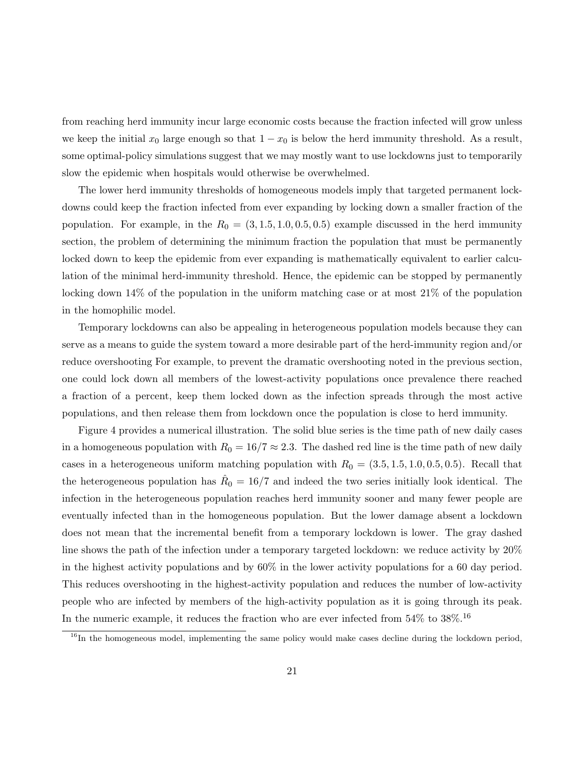from reaching herd immunity incur large economic costs because the fraction infected will grow unless we keep the initial  $x_0$  large enough so that  $1 - x_0$  is below the herd immunity threshold. As a result, some optimal-policy simulations suggest that we may mostly want to use lockdowns just to temporarily slow the epidemic when hospitals would otherwise be overwhelmed.

The lower herd immunity thresholds of homogeneous models imply that targeted permanent lockdowns could keep the fraction infected from ever expanding by locking down a smaller fraction of the population. For example, in the  $R_0 = (3, 1.5, 1.0, 0.5, 0.5)$  example discussed in the herd immunity section, the problem of determining the minimum fraction the population that must be permanently locked down to keep the epidemic from ever expanding is mathematically equivalent to earlier calculation of the minimal herd-immunity threshold. Hence, the epidemic can be stopped by permanently locking down 14% of the population in the uniform matching case or at most 21% of the population in the homophilic model.

Temporary lockdowns can also be appealing in heterogeneous population models because they can serve as a means to guide the system toward a more desirable part of the herd-immunity region and/or reduce overshooting For example, to prevent the dramatic overshooting noted in the previous section, one could lock down all members of the lowest-activity populations once prevalence there reached a fraction of a percent, keep them locked down as the infection spreads through the most active populations, and then release them from lockdown once the population is close to herd immunity.

Figure 4 provides a numerical illustration. The solid blue series is the time path of new daily cases in a homogeneous population with  $R_0 = 16/7 \approx 2.3$ . The dashed red line is the time path of new daily cases in a heterogeneous uniform matching population with  $R_0 = (3.5, 1.5, 1.0, 0.5, 0.5)$ . Recall that the heterogeneous population has  $\hat{R}_0 = 16/7$  and indeed the two series initially look identical. The infection in the heterogeneous population reaches herd immunity sooner and many fewer people are eventually infected than in the homogeneous population. But the lower damage absent a lockdown does not mean that the incremental benefit from a temporary lockdown is lower. The gray dashed line shows the path of the infection under a temporary targeted lockdown: we reduce activity by 20% in the highest activity populations and by 60% in the lower activity populations for a 60 day period. This reduces overshooting in the highest-activity population and reduces the number of low-activity people who are infected by members of the high-activity population as it is going through its peak. In the numeric example, it reduces the fraction who are ever infected from  $54\%$  to  $38\%.$ <sup>16</sup>

<sup>&</sup>lt;sup>16</sup>In the homogeneous model, implementing the same policy would make cases decline during the lockdown period,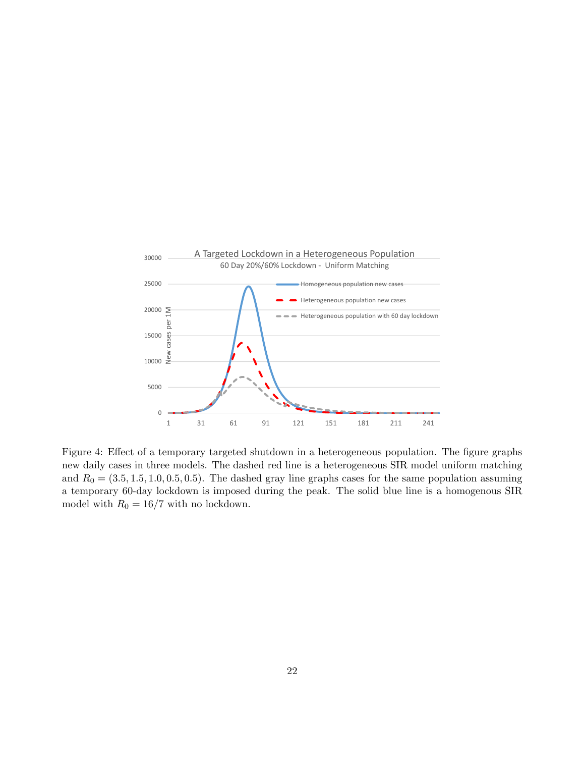

Figure 4: Effect of a temporary targeted shutdown in a heterogeneous population. The figure graphs new daily cases in three models. The dashed red line is a heterogeneous SIR model uniform matching and  $R_0 = (3.5, 1.5, 1.0, 0.5, 0.5)$ . The dashed gray line graphs cases for the same population assuming a temporary 60-day lockdown is imposed during the peak. The solid blue line is a homogenous SIR model with  $R_0 = 16/7$  with no lockdown.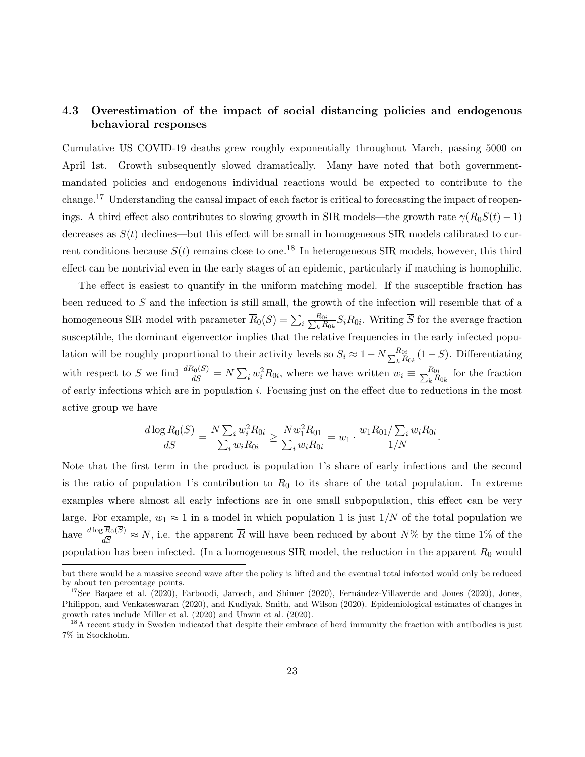### 4.3 Overestimation of the impact of social distancing policies and endogenous behavioral responses

Cumulative US COVID-19 deaths grew roughly exponentially throughout March, passing 5000 on April 1st. Growth subsequently slowed dramatically. Many have noted that both governmentmandated policies and endogenous individual reactions would be expected to contribute to the change.<sup>17</sup> Understanding the causal impact of each factor is critical to forecasting the impact of reopenings. A third effect also contributes to slowing growth in SIR models—the growth rate  $\gamma(R_0S(t) - 1)$ decreases as  $S(t)$  declines—but this effect will be small in homogeneous SIR models calibrated to current conditions because  $S(t)$  remains close to one.<sup>18</sup> In heterogeneous SIR models, however, this third effect can be nontrivial even in the early stages of an epidemic, particularly if matching is homophilic.

The effect is easiest to quantify in the uniform matching model. If the susceptible fraction has been reduced to S and the infection is still small, the growth of the infection will resemble that of a homogeneous SIR model with parameter  $\overline{R}_0(S) = \sum_i \frac{R_{0i}}{\sum_k R_{0i}}$  $\frac{R_{0i}}{R_{0k}}S_iR_{0i}$ . Writing  $\overline{S}$  for the average fraction susceptible, the dominant eigenvector implies that the relative frequencies in the early infected population will be roughly proportional to their activity levels so  $S_i \approx 1 - N \frac{R_{0i}}{\sum_k R_k}$  $\frac{R_{0i}}{R_{0k}}(1-S)$ . Differentiating with respect to  $\overline{S}$  we find  $\frac{dR_0(S)}{d\overline{S}} = N \sum_i w_i^2 R_{0i}$ , where we have written  $w_i \equiv \frac{R_{0i}}{\sum_k R_{0i}}$  $\frac{R_{0i}}{R_{0k}}$  for the fraction of early infections which are in population i. Focusing just on the effect due to reductions in the most active group we have

$$
\frac{d \log \overline{R}_0(\overline{S})}{d\overline{S}} = \frac{N \sum_i w_i^2 R_{0i}}{\sum_i w_i R_{0i}} \ge \frac{N w_1^2 R_{01}}{\sum_i w_i R_{0i}} = w_1 \cdot \frac{w_1 R_{01} / \sum_i w_i R_{0i}}{1/N}.
$$

Note that the first term in the product is population 1's share of early infections and the second is the ratio of population 1's contribution to  $\overline{R}_0$  to its share of the total population. In extreme examples where almost all early infections are in one small subpopulation, this effect can be very large. For example,  $w_1 \approx 1$  in a model in which population 1 is just  $1/N$  of the total population we have  $\frac{d \log R_0(S)}{d \overline{S}} \approx N$ , i.e. the apparent  $\overline{R}$  will have been reduced by about  $N\%$  by the time 1% of the population has been infected. (In a homogeneous SIR model, the reduction in the apparent  $R_0$  would

but there would be a massive second wave after the policy is lifted and the eventual total infected would only be reduced by about ten percentage points.

<sup>&</sup>lt;sup>17</sup>See Baqaee et al. (2020), Farboodi, Jarosch, and Shimer (2020), Fernández-Villaverde and Jones (2020), Jones, Philippon, and Venkateswaran (2020), and Kudlyak, Smith, and Wilson (2020). Epidemiological estimates of changes in growth rates include Miller et al. (2020) and Unwin et al. (2020).

<sup>&</sup>lt;sup>18</sup>A recent study in Sweden indicated that despite their embrace of herd immunity the fraction with antibodies is just 7% in Stockholm.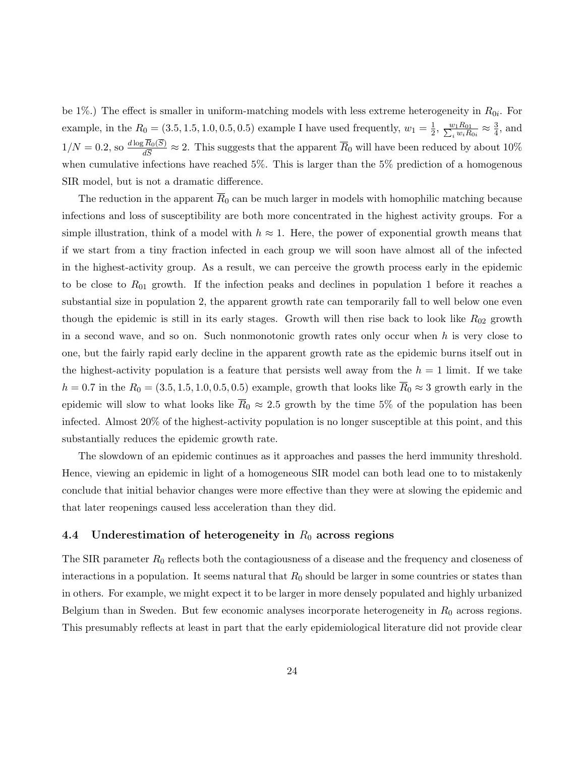be 1%.) The effect is smaller in uniform-matching models with less extreme heterogeneity in  $R_{0i}$ . For example, in the  $R_0 = (3.5, 1.5, 1.0, 0.5, 0.5)$  example I have used frequently,  $w_1 = \frac{1}{2}$  $\frac{1}{2}, \frac{w_1 R_{01}}{\sum_i w_i R_{0i}} \approx \frac{3}{4}$  $\frac{3}{4}$ , and  $1/N = 0.2$ , so  $\frac{d \log R_0(S)}{d \overline{S}} \approx 2$ . This suggests that the apparent  $\overline{R}_0$  will have been reduced by about 10% when cumulative infections have reached 5%. This is larger than the 5% prediction of a homogenous SIR model, but is not a dramatic difference.

The reduction in the apparent  $\overline{R}_0$  can be much larger in models with homophilic matching because infections and loss of susceptibility are both more concentrated in the highest activity groups. For a simple illustration, think of a model with  $h \approx 1$ . Here, the power of exponential growth means that if we start from a tiny fraction infected in each group we will soon have almost all of the infected in the highest-activity group. As a result, we can perceive the growth process early in the epidemic to be close to  $R_{01}$  growth. If the infection peaks and declines in population 1 before it reaches a substantial size in population 2, the apparent growth rate can temporarily fall to well below one even though the epidemic is still in its early stages. Growth will then rise back to look like  $R_{02}$  growth in a second wave, and so on. Such nonmonotonic growth rates only occur when  $h$  is very close to one, but the fairly rapid early decline in the apparent growth rate as the epidemic burns itself out in the highest-activity population is a feature that persists well away from the  $h = 1$  limit. If we take  $h = 0.7$  in the  $R_0 = (3.5, 1.5, 1.0, 0.5, 0.5)$  example, growth that looks like  $\overline{R}_0 \approx 3$  growth early in the epidemic will slow to what looks like  $\bar{R}_0 \approx 2.5$  growth by the time 5% of the population has been infected. Almost 20% of the highest-activity population is no longer susceptible at this point, and this substantially reduces the epidemic growth rate.

The slowdown of an epidemic continues as it approaches and passes the herd immunity threshold. Hence, viewing an epidemic in light of a homogeneous SIR model can both lead one to to mistakenly conclude that initial behavior changes were more effective than they were at slowing the epidemic and that later reopenings caused less acceleration than they did.

#### 4.4 Underestimation of heterogeneity in  $R_0$  across regions

The SIR parameter  $R_0$  reflects both the contagiousness of a disease and the frequency and closeness of interactions in a population. It seems natural that  $R_0$  should be larger in some countries or states than in others. For example, we might expect it to be larger in more densely populated and highly urbanized Belgium than in Sweden. But few economic analyses incorporate heterogeneity in  $R_0$  across regions. This presumably reflects at least in part that the early epidemiological literature did not provide clear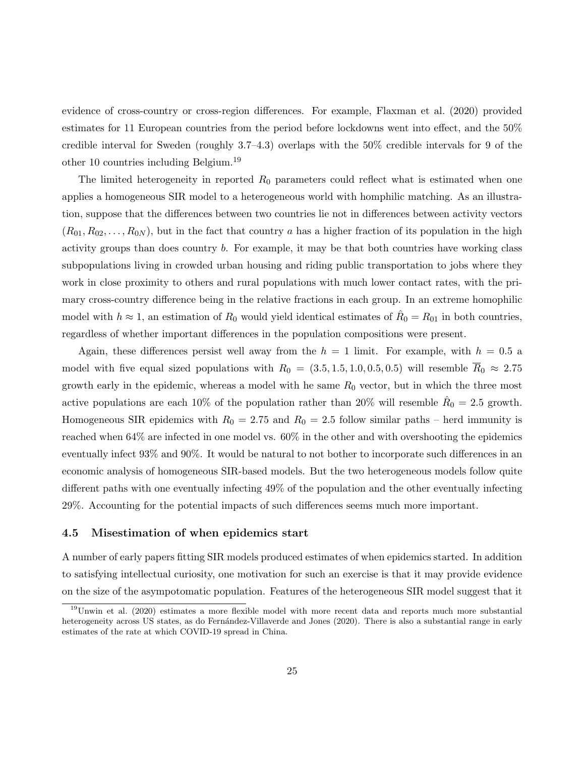evidence of cross-country or cross-region differences. For example, Flaxman et al. (2020) provided estimates for 11 European countries from the period before lockdowns went into effect, and the 50% credible interval for Sweden (roughly 3.7–4.3) overlaps with the 50% credible intervals for 9 of the other 10 countries including Belgium.<sup>19</sup>

The limited heterogeneity in reported  $R_0$  parameters could reflect what is estimated when one applies a homogeneous SIR model to a heterogeneous world with homphilic matching. As an illustration, suppose that the differences between two countries lie not in differences between activity vectors  $(R_{01}, R_{02}, \ldots, R_{0N})$ , but in the fact that country a has a higher fraction of its population in the high activity groups than does country b. For example, it may be that both countries have working class subpopulations living in crowded urban housing and riding public transportation to jobs where they work in close proximity to others and rural populations with much lower contact rates, with the primary cross-country difference being in the relative fractions in each group. In an extreme homophilic model with  $h \approx 1$ , an estimation of  $R_0$  would yield identical estimates of  $\hat{R}_0 = R_{01}$  in both countries, regardless of whether important differences in the population compositions were present.

Again, these differences persist well away from the  $h = 1$  limit. For example, with  $h = 0.5$  a model with five equal sized populations with  $R_0 = (3.5, 1.5, 1.0, 0.5, 0.5)$  will resemble  $\overline{R}_0 \approx 2.75$ growth early in the epidemic, whereas a model with he same  $R_0$  vector, but in which the three most active populations are each 10% of the population rather than 20% will resemble  $\hat{R}_0 = 2.5$  growth. Homogeneous SIR epidemics with  $R_0 = 2.75$  and  $R_0 = 2.5$  follow similar paths – herd immunity is reached when 64% are infected in one model vs. 60% in the other and with overshooting the epidemics eventually infect 93% and 90%. It would be natural to not bother to incorporate such differences in an economic analysis of homogeneous SIR-based models. But the two heterogeneous models follow quite different paths with one eventually infecting 49% of the population and the other eventually infecting 29%. Accounting for the potential impacts of such differences seems much more important.

#### 4.5 Misestimation of when epidemics start

A number of early papers fitting SIR models produced estimates of when epidemics started. In addition to satisfying intellectual curiosity, one motivation for such an exercise is that it may provide evidence on the size of the asympotomatic population. Features of the heterogeneous SIR model suggest that it

<sup>19</sup>Unwin et al. (2020) estimates a more flexible model with more recent data and reports much more substantial heterogeneity across US states, as do Fernández-Villaverde and Jones (2020). There is also a substantial range in early estimates of the rate at which COVID-19 spread in China.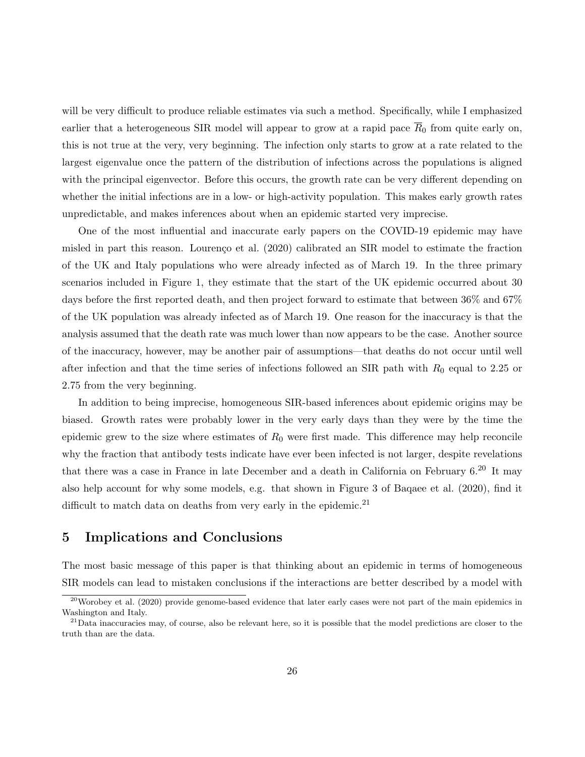will be very difficult to produce reliable estimates via such a method. Specifically, while I emphasized earlier that a heterogeneous SIR model will appear to grow at a rapid pace  $\overline{R}_0$  from quite early on, this is not true at the very, very beginning. The infection only starts to grow at a rate related to the largest eigenvalue once the pattern of the distribution of infections across the populations is aligned with the principal eigenvector. Before this occurs, the growth rate can be very different depending on whether the initial infections are in a low- or high-activity population. This makes early growth rates unpredictable, and makes inferences about when an epidemic started very imprecise.

One of the most influential and inaccurate early papers on the COVID-19 epidemic may have misled in part this reason. Lourenço et al. (2020) calibrated an SIR model to estimate the fraction of the UK and Italy populations who were already infected as of March 19. In the three primary scenarios included in Figure 1, they estimate that the start of the UK epidemic occurred about 30 days before the first reported death, and then project forward to estimate that between 36% and 67% of the UK population was already infected as of March 19. One reason for the inaccuracy is that the analysis assumed that the death rate was much lower than now appears to be the case. Another source of the inaccuracy, however, may be another pair of assumptions—that deaths do not occur until well after infection and that the time series of infections followed an SIR path with  $R_0$  equal to 2.25 or 2.75 from the very beginning.

In addition to being imprecise, homogeneous SIR-based inferences about epidemic origins may be biased. Growth rates were probably lower in the very early days than they were by the time the epidemic grew to the size where estimates of  $R_0$  were first made. This difference may help reconcile why the fraction that antibody tests indicate have ever been infected is not larger, despite revelations that there was a case in France in late December and a death in California on February 6.<sup>20</sup> It may also help account for why some models, e.g. that shown in Figure 3 of Baqaee et al. (2020), find it difficult to match data on deaths from very early in the epidemic.<sup>21</sup>

## 5 Implications and Conclusions

The most basic message of this paper is that thinking about an epidemic in terms of homogeneous SIR models can lead to mistaken conclusions if the interactions are better described by a model with

 $^{20}$ Worobey et al. (2020) provide genome-based evidence that later early cases were not part of the main epidemics in Washington and Italy.

 $^{21}$ Data inaccuracies may, of course, also be relevant here, so it is possible that the model predictions are closer to the truth than are the data.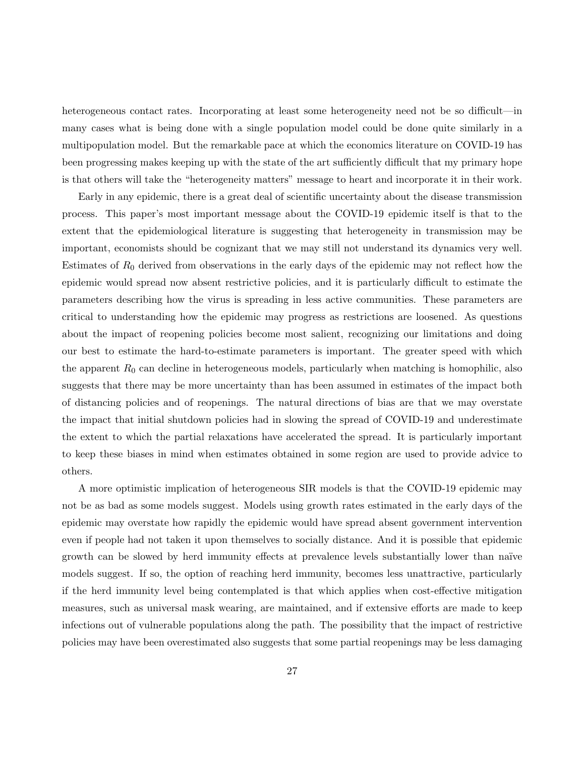heterogeneous contact rates. Incorporating at least some heterogeneity need not be so difficult—in many cases what is being done with a single population model could be done quite similarly in a multipopulation model. But the remarkable pace at which the economics literature on COVID-19 has been progressing makes keeping up with the state of the art sufficiently difficult that my primary hope is that others will take the "heterogeneity matters" message to heart and incorporate it in their work.

Early in any epidemic, there is a great deal of scientific uncertainty about the disease transmission process. This paper's most important message about the COVID-19 epidemic itself is that to the extent that the epidemiological literature is suggesting that heterogeneity in transmission may be important, economists should be cognizant that we may still not understand its dynamics very well. Estimates of  $R_0$  derived from observations in the early days of the epidemic may not reflect how the epidemic would spread now absent restrictive policies, and it is particularly difficult to estimate the parameters describing how the virus is spreading in less active communities. These parameters are critical to understanding how the epidemic may progress as restrictions are loosened. As questions about the impact of reopening policies become most salient, recognizing our limitations and doing our best to estimate the hard-to-estimate parameters is important. The greater speed with which the apparent  $R_0$  can decline in heterogeneous models, particularly when matching is homophilic, also suggests that there may be more uncertainty than has been assumed in estimates of the impact both of distancing policies and of reopenings. The natural directions of bias are that we may overstate the impact that initial shutdown policies had in slowing the spread of COVID-19 and underestimate the extent to which the partial relaxations have accelerated the spread. It is particularly important to keep these biases in mind when estimates obtained in some region are used to provide advice to others.

A more optimistic implication of heterogeneous SIR models is that the COVID-19 epidemic may not be as bad as some models suggest. Models using growth rates estimated in the early days of the epidemic may overstate how rapidly the epidemic would have spread absent government intervention even if people had not taken it upon themselves to socially distance. And it is possible that epidemic growth can be slowed by herd immunity effects at prevalence levels substantially lower than naïve models suggest. If so, the option of reaching herd immunity, becomes less unattractive, particularly if the herd immunity level being contemplated is that which applies when cost-effective mitigation measures, such as universal mask wearing, are maintained, and if extensive efforts are made to keep infections out of vulnerable populations along the path. The possibility that the impact of restrictive policies may have been overestimated also suggests that some partial reopenings may be less damaging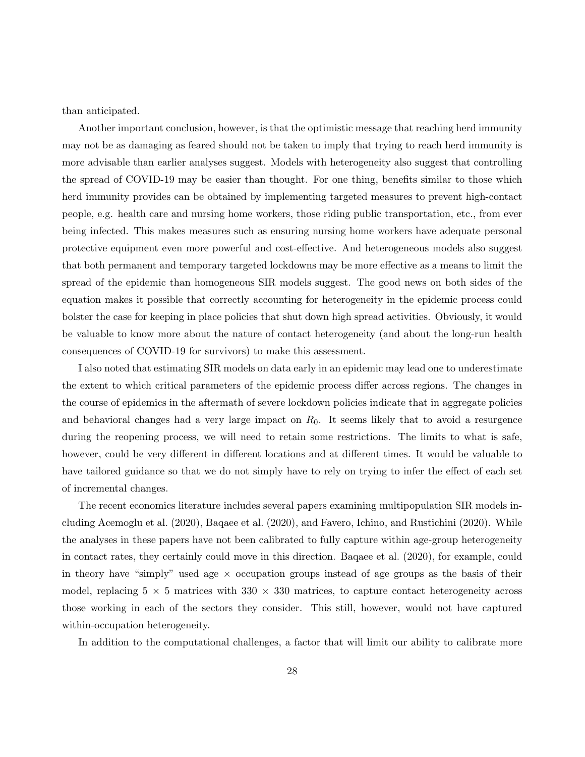than anticipated.

Another important conclusion, however, is that the optimistic message that reaching herd immunity may not be as damaging as feared should not be taken to imply that trying to reach herd immunity is more advisable than earlier analyses suggest. Models with heterogeneity also suggest that controlling the spread of COVID-19 may be easier than thought. For one thing, benefits similar to those which herd immunity provides can be obtained by implementing targeted measures to prevent high-contact people, e.g. health care and nursing home workers, those riding public transportation, etc., from ever being infected. This makes measures such as ensuring nursing home workers have adequate personal protective equipment even more powerful and cost-effective. And heterogeneous models also suggest that both permanent and temporary targeted lockdowns may be more effective as a means to limit the spread of the epidemic than homogeneous SIR models suggest. The good news on both sides of the equation makes it possible that correctly accounting for heterogeneity in the epidemic process could bolster the case for keeping in place policies that shut down high spread activities. Obviously, it would be valuable to know more about the nature of contact heterogeneity (and about the long-run health consequences of COVID-19 for survivors) to make this assessment.

I also noted that estimating SIR models on data early in an epidemic may lead one to underestimate the extent to which critical parameters of the epidemic process differ across regions. The changes in the course of epidemics in the aftermath of severe lockdown policies indicate that in aggregate policies and behavioral changes had a very large impact on  $R_0$ . It seems likely that to avoid a resurgence during the reopening process, we will need to retain some restrictions. The limits to what is safe, however, could be very different in different locations and at different times. It would be valuable to have tailored guidance so that we do not simply have to rely on trying to infer the effect of each set of incremental changes.

The recent economics literature includes several papers examining multipopulation SIR models including Acemoglu et al. (2020), Baqaee et al. (2020), and Favero, Ichino, and Rustichini (2020). While the analyses in these papers have not been calibrated to fully capture within age-group heterogeneity in contact rates, they certainly could move in this direction. Baqaee et al. (2020), for example, could in theory have "simply" used age  $\times$  occupation groups instead of age groups as the basis of their model, replacing  $5 \times 5$  matrices with  $330 \times 330$  matrices, to capture contact heterogeneity across those working in each of the sectors they consider. This still, however, would not have captured within-occupation heterogeneity.

In addition to the computational challenges, a factor that will limit our ability to calibrate more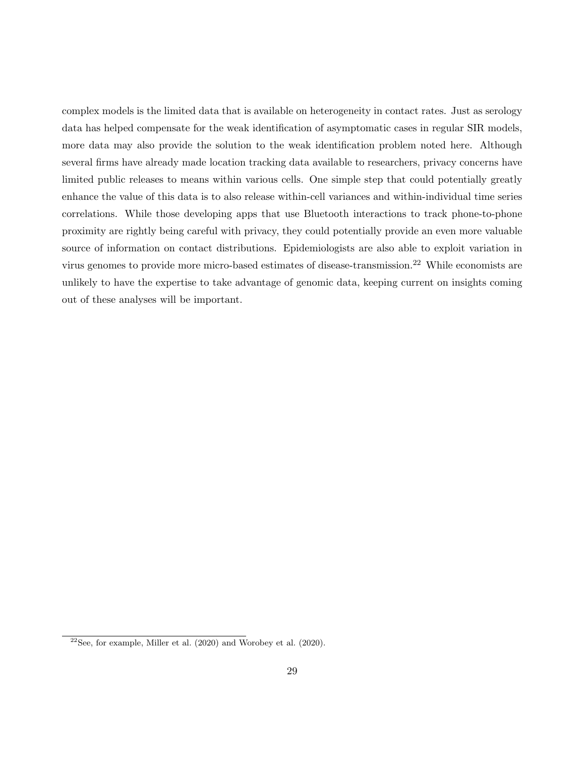complex models is the limited data that is available on heterogeneity in contact rates. Just as serology data has helped compensate for the weak identification of asymptomatic cases in regular SIR models, more data may also provide the solution to the weak identification problem noted here. Although several firms have already made location tracking data available to researchers, privacy concerns have limited public releases to means within various cells. One simple step that could potentially greatly enhance the value of this data is to also release within-cell variances and within-individual time series correlations. While those developing apps that use Bluetooth interactions to track phone-to-phone proximity are rightly being careful with privacy, they could potentially provide an even more valuable source of information on contact distributions. Epidemiologists are also able to exploit variation in virus genomes to provide more micro-based estimates of disease-transmission.<sup>22</sup> While economists are unlikely to have the expertise to take advantage of genomic data, keeping current on insights coming out of these analyses will be important.

 $22$ See, for example, Miller et al. (2020) and Worobey et al. (2020).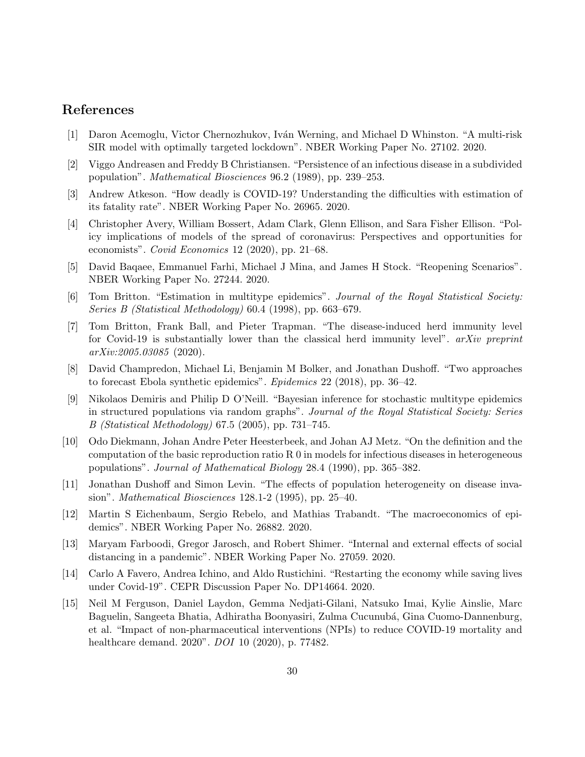## References

- [1] Daron Acemoglu, Victor Chernozhukov, Iv´an Werning, and Michael D Whinston. "A multi-risk SIR model with optimally targeted lockdown". NBER Working Paper No. 27102. 2020.
- [2] Viggo Andreasen and Freddy B Christiansen. "Persistence of an infectious disease in a subdivided population". Mathematical Biosciences 96.2 (1989), pp. 239–253.
- [3] Andrew Atkeson. "How deadly is COVID-19? Understanding the difficulties with estimation of its fatality rate". NBER Working Paper No. 26965. 2020.
- [4] Christopher Avery, William Bossert, Adam Clark, Glenn Ellison, and Sara Fisher Ellison. "Policy implications of models of the spread of coronavirus: Perspectives and opportunities for economists". Covid Economics 12 (2020), pp. 21–68.
- [5] David Baqaee, Emmanuel Farhi, Michael J Mina, and James H Stock. "Reopening Scenarios". NBER Working Paper No. 27244. 2020.
- [6] Tom Britton. "Estimation in multitype epidemics". Journal of the Royal Statistical Society: Series B (Statistical Methodology) 60.4 (1998), pp. 663–679.
- [7] Tom Britton, Frank Ball, and Pieter Trapman. "The disease-induced herd immunity level for Covid-19 is substantially lower than the classical herd immunity level". arXiv preprint arXiv:2005.03085 (2020).
- [8] David Champredon, Michael Li, Benjamin M Bolker, and Jonathan Dushoff. "Two approaches to forecast Ebola synthetic epidemics". Epidemics 22 (2018), pp. 36–42.
- [9] Nikolaos Demiris and Philip D O'Neill. "Bayesian inference for stochastic multitype epidemics in structured populations via random graphs". Journal of the Royal Statistical Society: Series B (Statistical Methodology) 67.5 (2005), pp. 731–745.
- [10] Odo Diekmann, Johan Andre Peter Heesterbeek, and Johan AJ Metz. "On the definition and the computation of the basic reproduction ratio  $R_0$  in models for infectious diseases in heterogeneous populations". Journal of Mathematical Biology 28.4 (1990), pp. 365–382.
- [11] Jonathan Dushoff and Simon Levin. "The effects of population heterogeneity on disease invasion". Mathematical Biosciences 128.1-2 (1995), pp. 25–40.
- [12] Martin S Eichenbaum, Sergio Rebelo, and Mathias Trabandt. "The macroeconomics of epidemics". NBER Working Paper No. 26882. 2020.
- [13] Maryam Farboodi, Gregor Jarosch, and Robert Shimer. "Internal and external effects of social distancing in a pandemic". NBER Working Paper No. 27059. 2020.
- [14] Carlo A Favero, Andrea Ichino, and Aldo Rustichini. "Restarting the economy while saving lives under Covid-19". CEPR Discussion Paper No. DP14664. 2020.
- [15] Neil M Ferguson, Daniel Laydon, Gemma Nedjati-Gilani, Natsuko Imai, Kylie Ainslie, Marc Baguelin, Sangeeta Bhatia, Adhiratha Boonyasiri, Zulma Cucunubá, Gina Cuomo-Dannenburg, et al. "Impact of non-pharmaceutical interventions (NPIs) to reduce COVID-19 mortality and healthcare demand. 2020". DOI 10 (2020), p. 77482.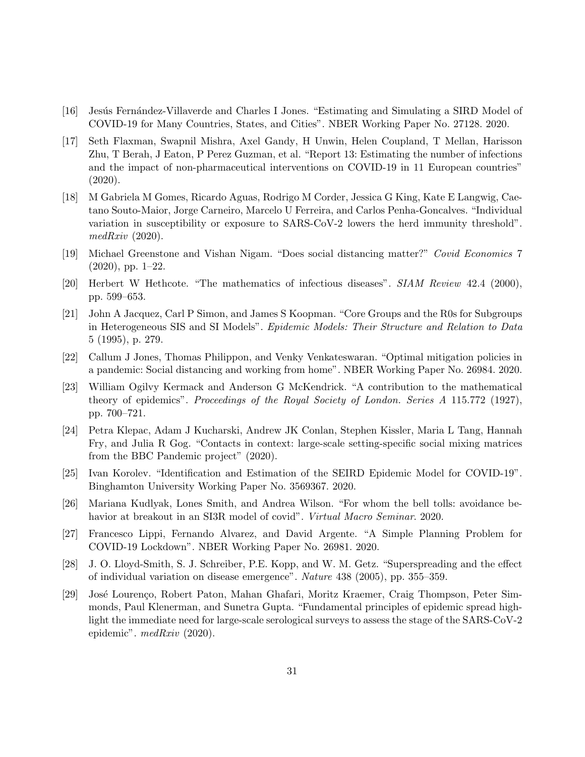- [16] Jesús Fernández-Villaverde and Charles I Jones. "Estimating and Simulating a SIRD Model of COVID-19 for Many Countries, States, and Cities". NBER Working Paper No. 27128. 2020.
- [17] Seth Flaxman, Swapnil Mishra, Axel Gandy, H Unwin, Helen Coupland, T Mellan, Harisson Zhu, T Berah, J Eaton, P Perez Guzman, et al. "Report 13: Estimating the number of infections and the impact of non-pharmaceutical interventions on COVID-19 in 11 European countries" (2020).
- [18] M Gabriela M Gomes, Ricardo Aguas, Rodrigo M Corder, Jessica G King, Kate E Langwig, Caetano Souto-Maior, Jorge Carneiro, Marcelo U Ferreira, and Carlos Penha-Goncalves. "Individual variation in susceptibility or exposure to SARS-CoV-2 lowers the herd immunity threshold".  $medRxiv$  (2020).
- [19] Michael Greenstone and Vishan Nigam. "Does social distancing matter?" Covid Economics 7 (2020), pp. 1–22.
- [20] Herbert W Hethcote. "The mathematics of infectious diseases". SIAM Review 42.4 (2000), pp. 599–653.
- [21] John A Jacquez, Carl P Simon, and James S Koopman. "Core Groups and the R0s for Subgroups in Heterogeneous SIS and SI Models". Epidemic Models: Their Structure and Relation to Data 5 (1995), p. 279.
- [22] Callum J Jones, Thomas Philippon, and Venky Venkateswaran. "Optimal mitigation policies in a pandemic: Social distancing and working from home". NBER Working Paper No. 26984. 2020.
- [23] William Ogilvy Kermack and Anderson G McKendrick. "A contribution to the mathematical theory of epidemics". Proceedings of the Royal Society of London. Series A 115.772 (1927), pp. 700–721.
- [24] Petra Klepac, Adam J Kucharski, Andrew JK Conlan, Stephen Kissler, Maria L Tang, Hannah Fry, and Julia R Gog. "Contacts in context: large-scale setting-specific social mixing matrices from the BBC Pandemic project" (2020).
- [25] Ivan Korolev. "Identification and Estimation of the SEIRD Epidemic Model for COVID-19". Binghamton University Working Paper No. 3569367. 2020.
- [26] Mariana Kudlyak, Lones Smith, and Andrea Wilson. "For whom the bell tolls: avoidance behavior at breakout in an SI3R model of covid". *Virtual Macro Seminar.* 2020.
- [27] Francesco Lippi, Fernando Alvarez, and David Argente. "A Simple Planning Problem for COVID-19 Lockdown". NBER Working Paper No. 26981. 2020.
- [28] J. O. Lloyd-Smith, S. J. Schreiber, P.E. Kopp, and W. M. Getz. "Superspreading and the effect of individual variation on disease emergence". Nature 438 (2005), pp. 355–359.
- [29] José Lourenço, Robert Paton, Mahan Ghafari, Moritz Kraemer, Craig Thompson, Peter Simmonds, Paul Klenerman, and Sunetra Gupta. "Fundamental principles of epidemic spread highlight the immediate need for large-scale serological surveys to assess the stage of the SARS-CoV-2 epidemic". medRxiv (2020).